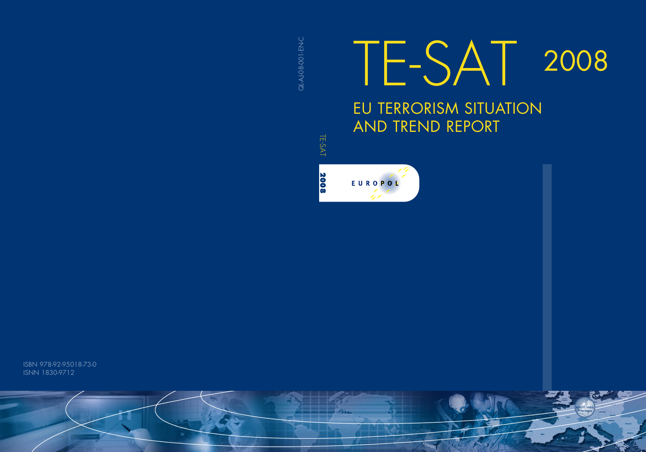**QL-AJ-08-001-EN-C** QL-AJ-08-0-R-LO

# 2008 EU TERRORISM SITUATION AND TREND REPORT TE-SAT

TE-SAT 2008 TE-SAT 2008



ISBN 978-92-95018-73-0 ISNN 1830-9712

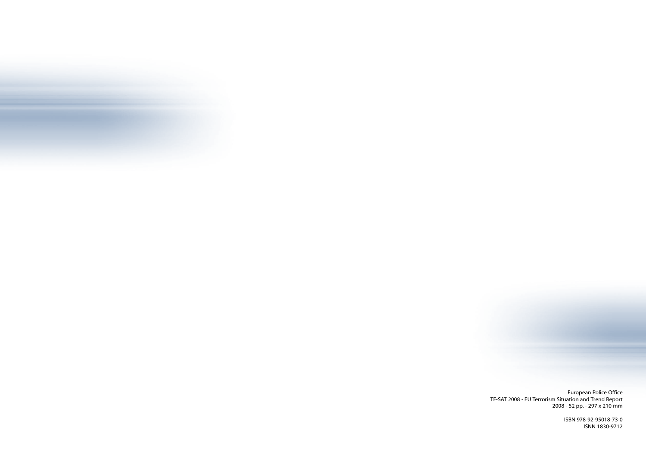

European Police Office TE-SAT 2008 - EU Terrorism Situation and Trend Report 2008 - 52 pp. - 297 x 210 mm

> ISBN 978-92-95018-73-0 ISNN 1830-9712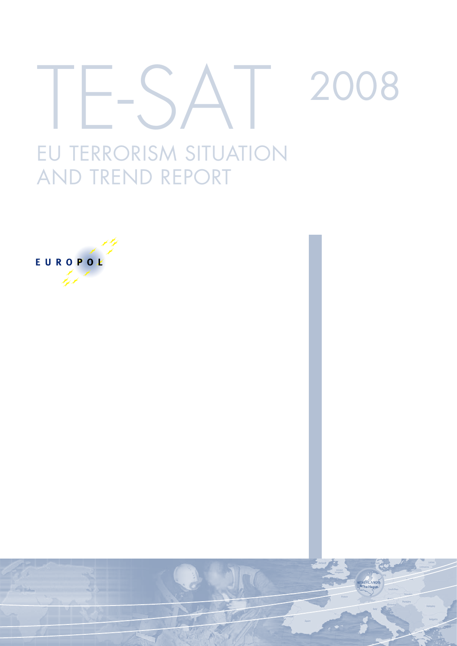# EU TERRORISM SITUATION 2008

# EUROPOŁ

AND TREND REPORT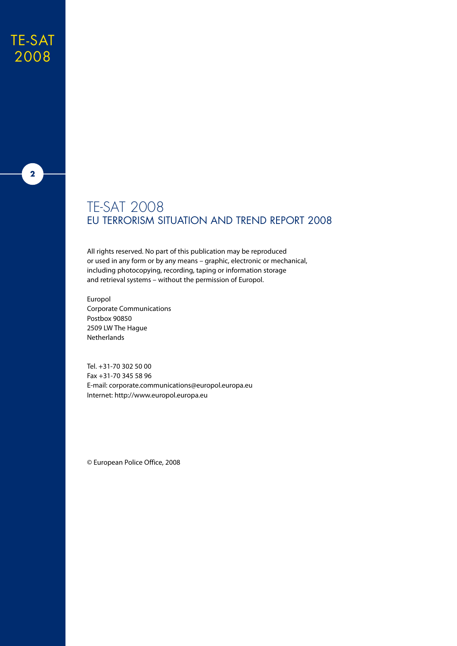### TE-SAT 2008



#### TE-SAT 2008 EU Terrorism Situation and Trend Report 2008

All rights reserved. No part of this publication may be reproduced or used in any form or by any means – graphic, electronic or mechanical, including photocopying, recording, taping or information storage and retrieval systems – without the permission of Europol.

Europol Corporate Communications Postbox 90850 2509 LW The Hague Netherlands

Tel. +31-70 302 50 00 Fax +31-70 345 58 96 E-mail: corporate.communications@europol.europa.eu Internet: http://www.europol.europa.eu

© European Police Office, 2008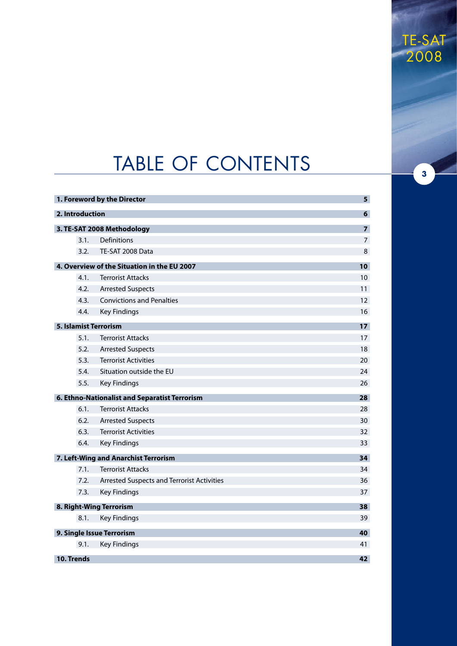# TABLE OF CONTENTS

|                 | 1. Foreword by the Director                   | 5              |
|-----------------|-----------------------------------------------|----------------|
| 2. Introduction |                                               | 6              |
|                 | 3. TE-SAT 2008 Methodology                    | $\overline{z}$ |
| 3.1.            | Definitions                                   | $\overline{7}$ |
| 3.2.            | TE-SAT 2008 Data                              | 8              |
|                 | 4. Overview of the Situation in the EU 2007   | 10             |
| 4.1.            | <b>Terrorist Attacks</b>                      | 10             |
| 4.2.            | <b>Arrested Suspects</b>                      | 11             |
| 4.3.            | <b>Convictions and Penalties</b>              | 12             |
| 4.4.            | <b>Key Findings</b>                           | 16             |
|                 | 5. Islamist Terrorism                         | 17             |
| 5.1.            | <b>Terrorist Attacks</b>                      | 17             |
| 5.2.            | <b>Arrested Suspects</b>                      | 18             |
| 5.3.            | <b>Terrorist Activities</b>                   | 20             |
| 5.4.            | Situation outside the EU                      | 24             |
| 5.5.            | <b>Key Findings</b>                           | 26             |
|                 | 6. Ethno-Nationalist and Separatist Terrorism | 28             |
| 6.1.            | <b>Terrorist Attacks</b>                      | 28             |
| 6.2.            | <b>Arrested Suspects</b>                      | 30             |
| 6.3.            | <b>Terrorist Activities</b>                   | 32             |
| 6.4.            | <b>Key Findings</b>                           | 33             |
|                 | 7. Left-Wing and Anarchist Terrorism          | 34             |
| 7.1.            | <b>Terrorist Attacks</b>                      | 34             |
| 7.2.            | Arrested Suspects and Terrorist Activities    | 36             |
| 7.3.            | <b>Key Findings</b>                           | 37             |
|                 | 8. Right-Wing Terrorism                       | 38             |
| 8.1.            | <b>Key Findings</b>                           | 39             |
|                 | 9. Single Issue Terrorism                     | 40             |
| 9.1.            | <b>Key Findings</b>                           | 41             |
| 10. Trends      |                                               | 42             |
|                 |                                               |                |

TE-SAT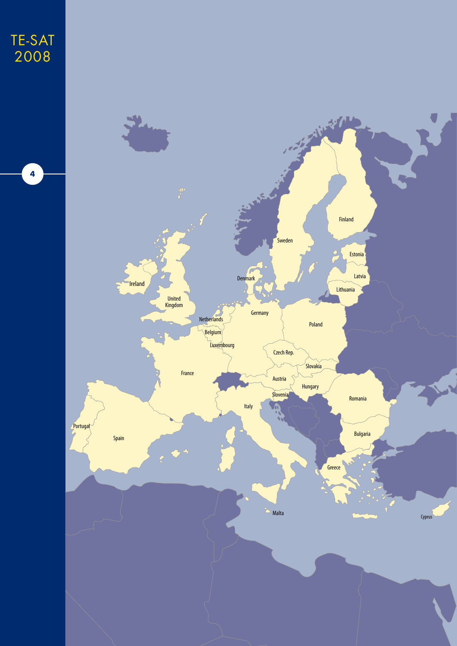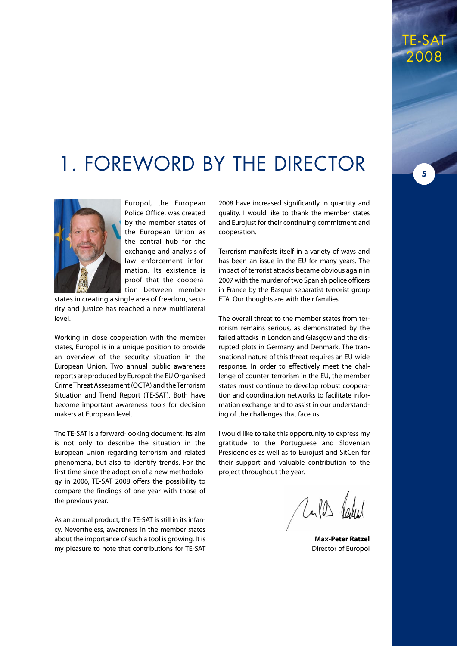# 1. Foreword by the Director

TE-SAT 2008

**5**



Europol, the European Police Office, was created by the member states of the European Union as the central hub for the exchange and analysis of law enforcement information. Its existence is proof that the cooperation between member

states in creating a single area of freedom, security and justice has reached a new multilateral level.

Working in close cooperation with the member states, Europol is in a unique position to provide an overview of the security situation in the European Union. Two annual public awareness reports are produced by Europol: the EU Organised Crime Threat Assessment (OCTA) and the Terrorism Situation and Trend Report (TE-SAT). Both have become important awareness tools for decision makers at European level.

The TE-SAT is a forward-looking document. Its aim is not only to describe the situation in the European Union regarding terrorism and related phenomena, but also to identify trends. For the first time since the adoption of a new methodology in 2006, TE-SAT 2008 offers the possibility to compare the findings of one year with those of the previous year.

As an annual product, the TE-SAT is still in its infancy. Nevertheless, awareness in the member states about the importance of such a tool is growing. It is my pleasure to note that contributions for TE-SAT

2008 have increased significantly in quantity and quality. I would like to thank the member states and Eurojust for their continuing commitment and cooperation.

Terrorism manifests itself in a variety of ways and has been an issue in the EU for many years. The impact of terrorist attacks became obvious again in 2007 with the murder of two Spanish police officers in France by the Basque separatist terrorist group ETA. Our thoughts are with their families.

The overall threat to the member states from terrorism remains serious, as demonstrated by the failed attacks in London and Glasgow and the disrupted plots in Germany and Denmark. The transnational nature of this threat requires an EU-wide response. In order to effectively meet the challenge of counter-terrorism in the EU, the member states must continue to develop robust cooperation and coordination networks to facilitate information exchange and to assist in our understanding of the challenges that face us.

I would like to take this opportunity to express my gratitude to the Portuguese and Slovenian Presidencies as well as to Eurojust and SitCen for their support and valuable contribution to the project throughout the year.

Units Peaker

**Max-Peter Ratzel** Director of Europol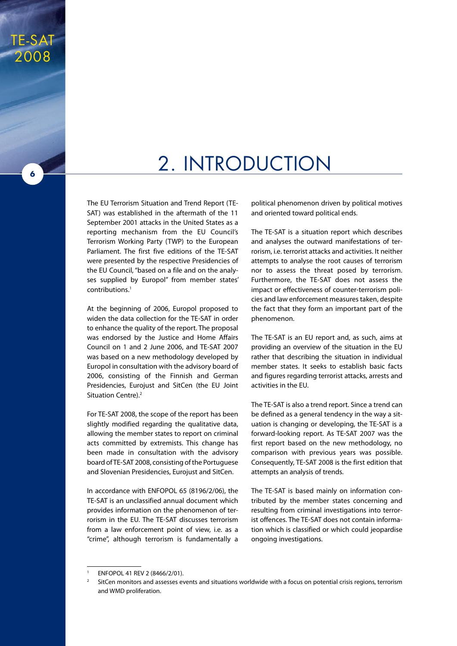# 2. Introduction

The EU Terrorism Situation and Trend Report (TE-SAT) was established in the aftermath of the 11 September 2001 attacks in the United States as a reporting mechanism from the EU Council's Terrorism Working Party (TWP) to the European Parliament. The first five editions of the TE-SAT were presented by the respective Presidencies of the EU Council, "based on a file and on the analyses supplied by Europol" from member states' contributions.1

TE-SAT

2008

**6**

At the beginning of 2006, Europol proposed to widen the data collection for the TE-SAT in order to enhance the quality of the report. The proposal was endorsed by the Justice and Home Affairs Council on 1 and 2 June 2006, and TE-SAT 2007 was based on a new methodology developed by Europol in consultation with the advisory board of 2006, consisting of the Finnish and German Presidencies, Eurojust and SitCen (the EU Joint Situation Centre).<sup>2</sup>

For TE-SAT 2008, the scope of the report has been slightly modified regarding the qualitative data, allowing the member states to report on criminal acts committed by extremists. This change has been made in consultation with the advisory board of TE-SAT 2008, consisting of the Portuguese and Slovenian Presidencies, Eurojust and SitCen.

In accordance with ENFOPOL 65 (8196/2/06), the TE-SAT is an unclassified annual document which provides information on the phenomenon of terrorism in the EU. The TE-SAT discusses terrorism from a law enforcement point of view, i.e. as a "crime", although terrorism is fundamentally a political phenomenon driven by political motives and oriented toward political ends.

The TE-SAT is a situation report which describes and analyses the outward manifestations of terrorism, i.e. terrorist attacks and activities. It neither attempts to analyse the root causes of terrorism nor to assess the threat posed by terrorism. Furthermore, the TE-SAT does not assess the impact or effectiveness of counter-terrorism policies and law enforcement measures taken, despite the fact that they form an important part of the phenomenon.

The TE-SAT is an EU report and, as such, aims at providing an overview of the situation in the EU rather that describing the situation in individual member states. It seeks to establish basic facts and figures regarding terrorist attacks, arrests and activities in the EU.

The TE-SAT is also a trend report. Since a trend can be defined as a general tendency in the way a situation is changing or developing, the TE-SAT is a forward-looking report. As TE-SAT 2007 was the first report based on the new methodology, no comparison with previous years was possible. Consequently, TE-SAT 2008 is the first edition that attempts an analysis of trends.

The TE-SAT is based mainly on information contributed by the member states concerning and resulting from criminal investigations into terrorist offences. The TE-SAT does not contain information which is classified or which could jeopardise ongoing investigations.

ENFOPOL 41 REV 2 (8466/2/01).

SitCen monitors and assesses events and situations worldwide with a focus on potential crisis regions, terrorism and WMD proliferation.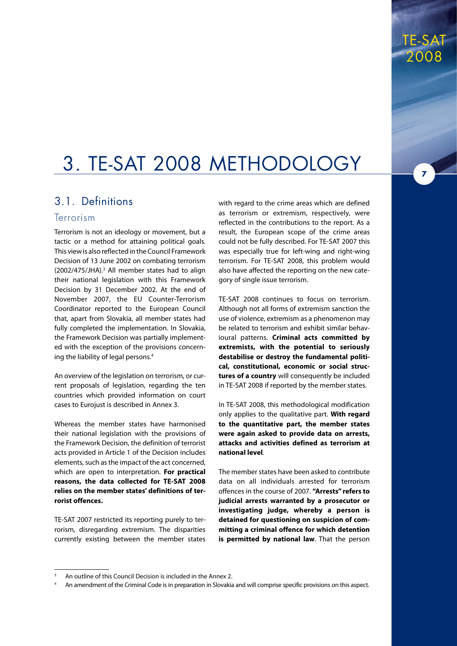**7**

# 3. TE-SAT 2008 Methodology

#### 3.1. Definitions

#### **Terrorism**

Terrorism is not an ideology or movement, but a tactic or a method for attaining political goals. This view is also reflected in the Council Framework Decision of 13 June 2002 on combating terrorism  $(2002/475/JHA).<sup>3</sup>$  All member states had to align their national legislation with this Framework Decision by 31 December 2002. At the end of November 2007, the EU Counter-Terrorism Coordinator reported to the European Council that, apart from Slovakia, all member states had fully completed the implementation. In Slovakia, the Framework Decision was partially implemented with the exception of the provisions concerning the liability of legal persons.4

An overview of the legislation on terrorism, or current proposals of legislation, regarding the ten countries which provided information on court cases to Eurojust is described in Annex 3.

Whereas the member states have harmonised their national legislation with the provisions of the Framework Decision, the definition of terrorist acts provided in Article 1 of the Decision includes elements, such as the impact of the act concerned, which are open to interpretation. **For practical reasons, the data collected for TE-SAT 2008 relies on the member states' definitions of terrorist offences.**

TE-SAT 2007 restricted its reporting purely to terrorism, disregarding extremism. The disparities currently existing between the member states

with regard to the crime areas which are defined as terrorism or extremism, respectively, were reflected in the contributions to the report. As a result, the European scope of the crime areas could not be fully described. For TE-SAT 2007 this was especially true for left-wing and right-wing terrorism. For TE-SAT 2008, this problem would also have affected the reporting on the new category of single issue terrorism.

TE-SAT 2008 continues to focus on terrorism. Although not all forms of extremism sanction the use of violence, extremism as a phenomenon may be related to terrorism and exhibit similar behavioural patterns. **Criminal acts committed by extremists, with the potential to seriously destabilise or destroy the fundamental political, constitutional, economic or social structures of a country** will consequently be included in TE-SAT 2008 if reported by the member states.

In TE-SAT 2008, this methodological modification only applies to the qualitative part. **With regard to the quantitative part, the member states were again asked to provide data on arrests, attacks and activities defined as terrorism at national level**.

The member states have been asked to contribute data on all individuals arrested for terrorism offences in the course of 2007. **"Arrests" refers to judicial arrests warranted by a prosecutor or investigating judge, whereby a person is detained for questioning on suspicion of committing a criminal offence for which detention is permitted by national law**. That the person

<sup>3</sup> An outline of this Council Decision is included in the Annex 2.

<sup>4</sup> An amendment of the Criminal Code is in preparation in Slovakia and will comprise specific provisions on this aspect.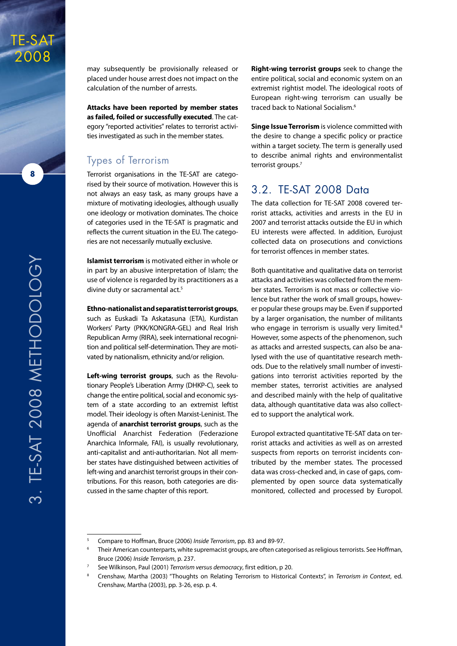

**8**



**Attacks have been reported by member states as failed, foiled or successfully executed**. The category "reported activities" relates to terrorist activities investigated as such in the member states.

#### Types of Terrorism

Terrorist organisations in the TE-SAT are categorised by their source of motivation. However this is not always an easy task, as many groups have a mixture of motivating ideologies, although usually one ideology or motivation dominates. The choice of categories used in the TE-SAT is pragmatic and reflects the current situation in the EU. The categories are not necessarily mutually exclusive.

**Islamist terrorism** is motivated either in whole or in part by an abusive interpretation of Islam; the use of violence is regarded by its practitioners as a divine duty or sacramental act.<sup>5</sup>

#### **Ethno-nationalist and separatist terrorist groups**,

such as Euskadi Ta Askatasuna (ETA), Kurdistan Workers' Party (PKK/KONGRA-GEL) and Real Irish Republican Army (RIRA), seek international recognition and political self-determination. They are motivated by nationalism, ethnicity and/or religion.

**Left-wing terrorist groups**, such as the Revolutionary People's Liberation Army (DHKP-C), seek to change the entire political, social and economic system of a state according to an extremist leftist model. Their ideology is often Marxist-Leninist. The agenda of **anarchist terrorist groups**, such as the Unofficial Anarchist Federation (Federazione Anarchica Informale, FAI), is usually revolutionary, anti-capitalist and anti-authoritarian. Not all member states have distinguished between activities of left-wing and anarchist terrorist groups in their contributions. For this reason, both categories are discussed in the same chapter of this report.

**Right-wing terrorist groups** seek to change the entire political, social and economic system on an extremist rightist model. The ideological roots of European right-wing terrorism can usually be traced back to National Socialism.<sup>6</sup>

**Singe Issue Terrorism** is violence committed with the desire to change a specific policy or practice within a target society. The term is generally used to describe animal rights and environmentalist terrorist groups.<sup>7</sup>

#### 3.2. TE-SAT 2008 Data

The data collection for TE-SAT 2008 covered terrorist attacks, activities and arrests in the EU in 2007 and terrorist attacks outside the EU in which EU interests were affected. In addition, Eurojust collected data on prosecutions and convictions for terrorist offences in member states.

Both quantitative and qualitative data on terrorist attacks and activities was collected from the member states. Terrorism is not mass or collective violence but rather the work of small groups, however popular these groups may be. Even if supported by a larger organisation, the number of militants who engage in terrorism is usually very limited.<sup>8</sup> However, some aspects of the phenomenon, such as attacks and arrested suspects, can also be analysed with the use of quantitative research methods. Due to the relatively small number of investigations into terrorist activities reported by the member states, terrorist activities are analysed and described mainly with the help of qualitative data, although quantitative data was also collected to support the analytical work.

Europol extracted quantitative TE-SAT data on terrorist attacks and activities as well as on arrested suspects from reports on terrorist incidents contributed by the member states. The processed data was cross-checked and, in case of gaps, complemented by open source data systematically monitored, collected and processed by Europol.

<sup>5</sup> Compare to Hoffman, Bruce (2006) *Inside Terrorism*, pp. 83 and 89-97.

Their American counterparts, white supremacist groups, are often categorised as religious terrorists. See Hoffman, Bruce (2006) *Inside Terrorism*, p. 237.

<sup>7</sup> See Wilkinson, Paul (2001) *Terrorism versus democracy*, first edition, p 20.

<sup>8</sup> Crenshaw, Martha (2003) "Thoughts on Relating Terrorism to Historical Contexts", in *Terrorism in Context*, ed. Crenshaw, Martha (2003), pp. 3-26, esp. p. 4.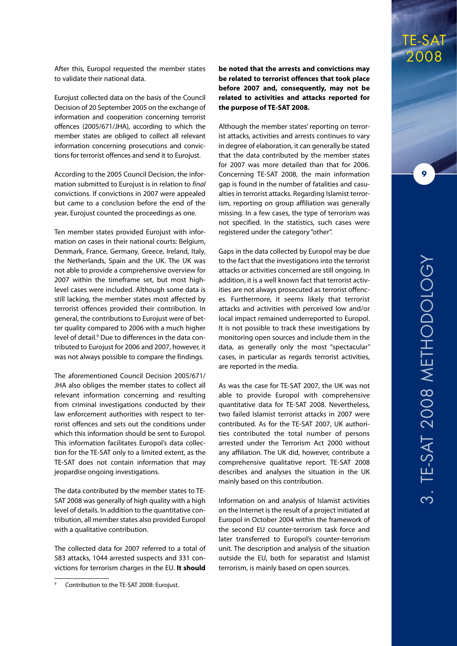After this, Europol requested the member states to validate their national data.

Eurojust collected data on the basis of the Council Decision of 20 September 2005 on the exchange of information and cooperation concerning terrorist offences (2005/671/JHA), according to which the member states are obliged to collect all relevant information concerning prosecutions and convictions for terrorist offences and send it to Eurojust.

According to the 2005 Council Decision, the information submitted to Eurojust is in relation to *final* convictions. If convictions in 2007 were appealed but came to a conclusion before the end of the year, Eurojust counted the proceedings as one.

Ten member states provided Eurojust with information on cases in their national courts: Belgium, Denmark, France, Germany, Greece, Ireland, Italy, the Netherlands, Spain and the UK. The UK was not able to provide a comprehensive overview for 2007 within the timeframe set, but most highlevel cases were included. Although some data is still lacking, the member states most affected by terrorist offences provided their contribution. In general, the contributions to Eurojust were of better quality compared to 2006 with a much higher level of detail.<sup>9</sup> Due to differences in the data contributed to Eurojust for 2006 and 2007, however, it was not always possible to compare the findings.

The aforementioned Council Decision 2005/671/ JHA also obliges the member states to collect all relevant information concerning and resulting from criminal investigations conducted by their law enforcement authorities with respect to terrorist offences and sets out the conditions under which this information should be sent to Europol. This information facilitates Europol's data collection for the TE-SAT only to a limited extent, as the TE-SAT does not contain information that may jeopardise ongoing investigations.

The data contributed by the member states to TE-SAT 2008 was generally of high quality with a high level of details. In addition to the quantitative contribution, all member states also provided Europol with a qualitative contribution.

The collected data for 2007 referred to a total of 583 attacks, 1044 arrested suspects and 331 convictions for terrorism charges in the EU. **It should** 

**be noted that the arrests and convictions may be related to terrorist offences that took place before 2007 and, consequently, may not be related to activities and attacks reported for the purpose of TE-SAT 2008.**

Although the member states' reporting on terrorist attacks, activities and arrests continues to vary in degree of elaboration, it can generally be stated that the data contributed by the member states for 2007 was more detailed than that for 2006. Concerning TE-SAT 2008, the main information gap is found in the number of fatalities and casualties in terrorist attacks. Regarding Islamist terrorism, reporting on group affiliation was generally missing. In a few cases, the type of terrorism was not specified. In the statistics, such cases were registered under the category "other".

Gaps in the data collected by Europol may be due to the fact that the investigations into the terrorist attacks or activities concerned are still ongoing. In addition, it is a well known fact that terrorist activities are not always prosecuted as terrorist offences. Furthermore, it seems likely that terrorist attacks and activities with perceived low and/or local impact remained underreported to Europol. It is not possible to track these investigations by monitoring open sources and include them in the data, as generally only the most "spectacular" cases, in particular as regards terrorist activities, are reported in the media.

As was the case for TE-SAT 2007, the UK was not able to provide Europol with comprehensive quantitative data for TE-SAT 2008. Nevertheless, two failed Islamist terrorist attacks in 2007 were contributed. As for the TE-SAT 2007, UK authorities contributed the total number of persons arrested under the Terrorism Act 2000 without any affiliation. The UK did, however, contribute a comprehensive qualitative report. TE-SAT 2008 describes and analyses the situation in the UK mainly based on this contribution.

Information on and analysis of Islamist activities on the Internet is the result of a project initiated at Europol in October 2004 within the framework of the second EU counter-terrorism task force and later transferred to Europol's counter-terrorism unit. The description and analysis of the situation outside the EU, both for separatist and Islamist terrorism, is mainly based on open sources.

TE-SAT 2008

<sup>9</sup> Contribution to the TE-SAT 2008: Eurojust.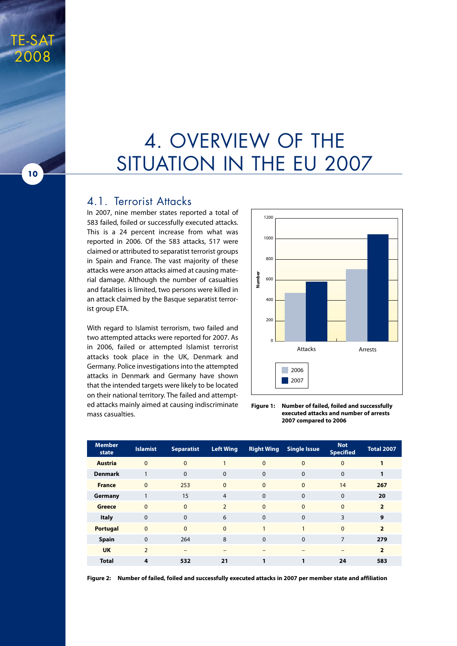## 4. Overview of the SITUATION IN THE EU 2007

#### 4.1. Terrorist Attacks

In 2007, nine member states reported a total of 583 failed, foiled or successfully executed attacks. This is a 24 percent increase from what was reported in 2006. Of the 583 attacks, 517 were claimed or attributed to separatist terrorist groups in Spain and France. The vast majority of these attacks were arson attacks aimed at causing material damage. Although the number of casualties and fatalities is limited, two persons were killed in an attack claimed by the Basque separatist terrorist group ETA.

With regard to Islamist terrorism, two failed and two attempted attacks were reported for 2007. As in 2006, failed or attempted Islamist terrorist attacks took place in the UK, Denmark and Germany. Police investigations into the attempted attacks in Denmark and Germany have shown that the intended targets were likely to be located on their national territory. The failed and attempted attacks mainly aimed at causing indiscriminate mass casualties.



**Figure 1: Number of failed, foiled and successfully executed attacks and number of arrests 2007 compared to 2006**

| <b>Member</b><br>state | <b>Islamist</b> | <b>Separatist</b> | <b>Left Wing</b> | <b>Right Wing</b> | <b>Single Issue</b> | <b>Not</b><br><b>Specified</b> | <b>Total 2007</b> |
|------------------------|-----------------|-------------------|------------------|-------------------|---------------------|--------------------------------|-------------------|
| <b>Austria</b>         | $\overline{0}$  | $\overline{0}$    | 1                | $\mathbf{0}$      | $\mathbf{0}$        | $\Omega$                       | 1                 |
| <b>Denmark</b>         | 1               | $\Omega$          | $\Omega$         | $\mathbf 0$       | $\Omega$            | $\Omega$                       |                   |
| <b>France</b>          | $\overline{0}$  | 253               | $\Omega$         | $\mathbf{0}$      | $\mathbf{0}$        | 14                             | 267               |
| Germany                | 1               | 15                | $\overline{4}$   | $\Omega$          | $\Omega$            | $\Omega$                       | 20                |
| Greece                 | $\Omega$        | $\Omega$          | $\overline{2}$   | $\mathbf{0}$      | $\Omega$            | $\Omega$                       | $\overline{2}$    |
| <b>Italy</b>           | $\mathbf 0$     | $\Omega$          | 6                | 0                 | $\Omega$            | 3                              | 9                 |
| <b>Portugal</b>        | $\mathbf{0}$    | $\Omega$          | $\Omega$         | $\mathbf{1}$      | $\mathbf{1}$        | $\Omega$                       | $\overline{2}$    |
| <b>Spain</b>           | $\mathbf 0$     | 264               | 8                | $\mathbf 0$       | $\Omega$            | $\overline{7}$                 | 279               |
| <b>UK</b>              | $\overline{2}$  | -                 |                  |                   |                     |                                | $\overline{2}$    |
| <b>Total</b>           | 4               | 532               | 21               | 1                 | 1                   | 24                             | 583               |

**Figure 2: Number of failed, foiled and successfully executed attacks in 2007 per member state and affiliation**

**10**

TE-SAT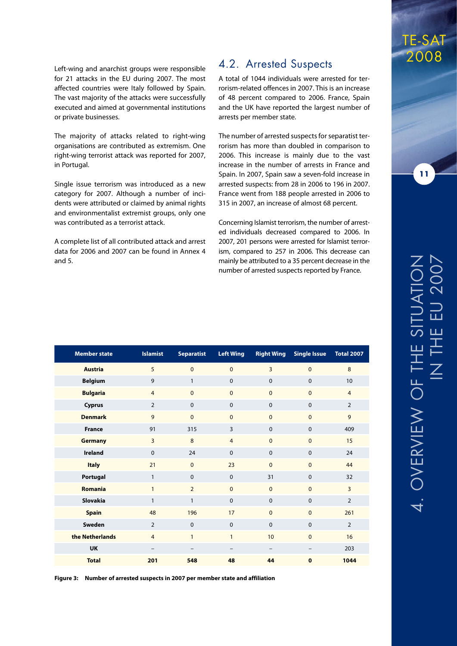Left-wing and anarchist groups were responsible for 21 attacks in the EU during 2007. The most affected countries were Italy followed by Spain. The vast majority of the attacks were successfully executed and aimed at governmental institutions or private businesses.

The majority of attacks related to right-wing organisations are contributed as extremism. One right-wing terrorist attack was reported for 2007, in Portugal.

Single issue terrorism was introduced as a new category for 2007. Although a number of incidents were attributed or claimed by animal rights and environmentalist extremist groups, only one was contributed as a terrorist attack.

A complete list of all contributed attack and arrest data for 2006 and 2007 can be found in Annex 4 and 5.

#### 4.2. Arrested Suspects

A total of 1044 individuals were arrested for terrorism-related offences in 2007. This is an increase of 48 percent compared to 2006. France, Spain and the UK have reported the largest number of arrests per member state.

The number of arrested suspects for separatist terrorism has more than doubled in comparison to 2006. This increase is mainly due to the vast increase in the number of arrests in France and Spain. In 2007, Spain saw a seven-fold increase in arrested suspects: from 28 in 2006 to 196 in 2007. France went from 188 people arrested in 2006 to 315 in 2007, an increase of almost 68 percent.

Concerning Islamist terrorism, the number of arrested individuals decreased compared to 2006. In 2007, 201 persons were arrested for Islamist terrorism, compared to 257 in 2006. This decrease can mainly be attributed to a 35 percent decrease in the number of arrested suspects reported by France.

| <b>Member state</b> | <b>Islamist</b>          | <b>Separatist</b> | <b>Left Wing</b>         | <b>Right Wing</b> | <b>Single Issue</b> | <b>Total 2007</b> |
|---------------------|--------------------------|-------------------|--------------------------|-------------------|---------------------|-------------------|
| <b>Austria</b>      | 5                        | $\mathbf{0}$      | $\mathbf{0}$             | $\overline{3}$    | $\mathbf{0}$        | 8                 |
| <b>Belgium</b>      | 9                        | $\mathbf{1}$      | $\mathbf 0$              | $\mathbf 0$       | $\mathbf 0$         | 10                |
| <b>Bulgaria</b>     | $\overline{4}$           | $\mathbf{0}$      | $\mathbf{0}$             | $\mathbf{0}$      | $\mathbf{0}$        | $\overline{4}$    |
| Cyprus              | $\overline{2}$           | $\mathbf 0$       | $\mathbf 0$              | $\mathbf 0$       | $\mathbf 0$         | $\overline{2}$    |
| <b>Denmark</b>      | 9                        | $\mathbf{0}$      | $\overline{0}$           | $\mathbf{0}$      | $\mathbf{0}$        | 9                 |
| <b>France</b>       | 91                       | 315               | 3                        | $\mathbf 0$       | $\mathbf 0$         | 409               |
| <b>Germany</b>      | $\overline{3}$           | 8                 | $\overline{4}$           | $\mathbf{0}$      | $\mathbf{0}$        | 15                |
| <b>Ireland</b>      | $\mathbf 0$              | 24                | $\mathbf 0$              | $\mathbf 0$       | $\mathbf 0$         | 24                |
| <b>Italy</b>        | 21                       | $\mathbf{0}$      | 23                       | $\Omega$          | $\mathbf{0}$        | 44                |
| Portugal            | $\mathbf{1}$             | $\mathbf 0$       | $\mathbf 0$              | 31                | $\mathbf 0$         | 32                |
| <b>Romania</b>      | $\mathbf{1}$             | $\overline{2}$    | $\mathbf{0}$             | $\mathbf{0}$      | $\mathbf{0}$        | $\overline{3}$    |
| <b>Slovakia</b>     | $\mathbf{1}$             | $\mathbf{1}$      | $\pmb{0}$                | $\mathbf 0$       | $\mathbf 0$         | $\overline{2}$    |
| <b>Spain</b>        | 48                       | 196               | 17                       | $\mathbf{0}$      | $\mathbf{0}$        | 261               |
| Sweden              | $\overline{2}$           | $\mathbf 0$       | $\mathbf 0$              | $\mathbf 0$       | $\mathbf 0$         | $\overline{2}$    |
| the Netherlands     | $\overline{4}$           | $\mathbf{1}$      | $\mathbf{1}$             | 10                | $\mathbf{0}$        | 16                |
| <b>UK</b>           | $\overline{\phantom{m}}$ | -                 | $\overline{\phantom{m}}$ | $\qquad \qquad -$ | -                   | 203               |
| <b>Total</b>        | 201                      | 548               | 48                       | 44                | $\mathbf 0$         | 1044              |

**Figure 3: Number of arrested suspects in 2007 per member state and affiliation**

### TE-SAT 2008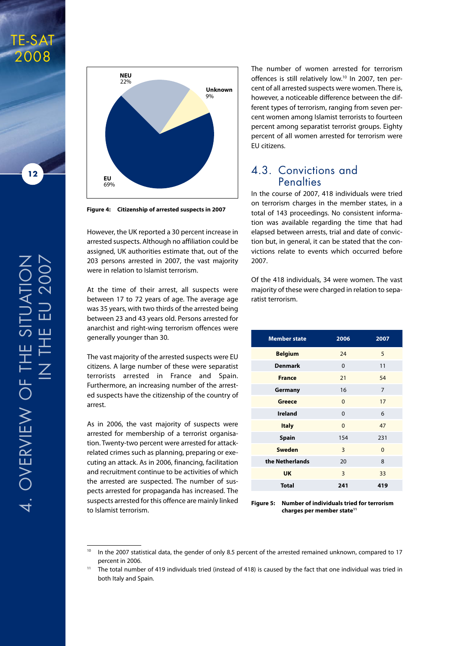

TE-SAT 2008



**Figure 4: Citizenship of arrested suspects in 2007**

However, the UK reported a 30 percent increase in arrested suspects. Although no affiliation could be assigned, UK authorities estimate that, out of the 203 persons arrested in 2007, the vast majority were in relation to Islamist terrorism.

At the time of their arrest, all suspects were between 17 to 72 years of age. The average age was 35 years, with two thirds of the arrested being between 23 and 43 years old. Persons arrested for anarchist and right-wing terrorism offences were generally younger than 30.

The vast majority of the arrested suspects were EU citizens. A large number of these were separatist terrorists arrested in France and Spain. Furthermore, an increasing number of the arrested suspects have the citizenship of the country of arrest.

As in 2006, the vast majority of suspects were arrested for membership of a terrorist organisation. Twenty-two percent were arrested for attackrelated crimes such as planning, preparing or executing an attack. As in 2006, financing, facilitation and recruitment continue to be activities of which the arrested are suspected. The number of suspects arrested for propaganda has increased. The suspects arrested for this offence are mainly linked to Islamist terrorism.

The number of women arrested for terrorism offences is still relatively low.<sup>10</sup> In 2007, ten percent of all arrested suspects were women. There is, however, a noticeable difference between the different types of terrorism, ranging from seven percent women among Islamist terrorists to fourteen percent among separatist terrorist groups. Eighty percent of all women arrested for terrorism were EU citizens.

#### 4.3. Convictions and **Penalties**

In the course of 2007, 418 individuals were tried on terrorism charges in the member states, in a total of 143 proceedings. No consistent information was available regarding the time that had elapsed between arrests, trial and date of conviction but, in general, it can be stated that the convictions relate to events which occurred before 2007.

Of the 418 individuals, 34 were women. The vast majority of these were charged in relation to separatist terrorism.

| <b>Member state</b> | 2006     | 2007     |
|---------------------|----------|----------|
| <b>Belgium</b>      | 24       | 5        |
| <b>Denmark</b>      | $\Omega$ | 11       |
| <b>France</b>       | 21       | 54       |
| Germany             | 16       | 7        |
| <b>Greece</b>       | $\Omega$ | 17       |
| <b>Ireland</b>      | $\Omega$ | 6        |
| <b>Italy</b>        | $\Omega$ | 47       |
| <b>Spain</b>        | 154      | 231      |
| <b>Sweden</b>       | 3        | $\Omega$ |
| the Netherlands     | 20       | 8        |
| <b>UK</b>           | 3        | 33       |
| <b>Total</b>        | 241      | 419      |

**Figure 5: Number of individuals tried for terrorism charges per member state11**

<sup>&</sup>lt;sup>10</sup> In the 2007 statistical data, the gender of only 8.5 percent of the arrested remained unknown, compared to 17 percent in 2006.

<sup>11</sup> The total number of 419 individuals tried (instead of 418) is caused by the fact that one individual was tried in both Italy and Spain.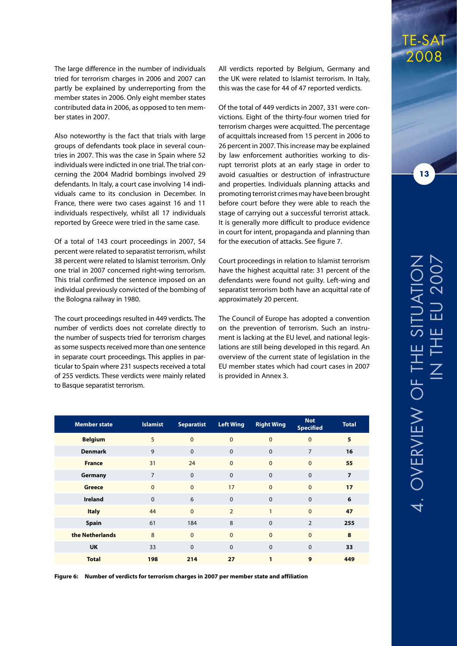The large difference in the number of individuals tried for terrorism charges in 2006 and 2007 can partly be explained by underreporting from the member states in 2006. Only eight member states contributed data in 2006, as opposed to ten member states in 2007.

Also noteworthy is the fact that trials with large groups of defendants took place in several countries in 2007. This was the case in Spain where 52 individuals were indicted in one trial. The trial concerning the 2004 Madrid bombings involved 29 defendants. In Italy, a court case involving 14 individuals came to its conclusion in December. In France, there were two cases against 16 and 11 individuals respectively, whilst all 17 individuals reported by Greece were tried in the same case.

Of a total of 143 court proceedings in 2007, 54 percent were related to separatist terrorism, whilst 38 percent were related to Islamist terrorism. Only one trial in 2007 concerned right-wing terrorism. This trial confirmed the sentence imposed on an individual previously convicted of the bombing of the Bologna railway in 1980.

The court proceedings resulted in 449 verdicts. The number of verdicts does not correlate directly to the number of suspects tried for terrorism charges as some suspects received more than one sentence in separate court proceedings. This applies in particular to Spain where 231 suspects received a total of 255 verdicts. These verdicts were mainly related to Basque separatist terrorism.

All verdicts reported by Belgium, Germany and the UK were related to Islamist terrorism. In Italy, this was the case for 44 of 47 reported verdicts.

Of the total of 449 verdicts in 2007, 331 were convictions. Eight of the thirty-four women tried for terrorism charges were acquitted. The percentage of acquittals increased from 15 percent in 2006 to 26 percent in 2007. This increase may be explained by law enforcement authorities working to disrupt terrorist plots at an early stage in order to avoid casualties or destruction of infrastructure and properties. Individuals planning attacks and promoting terrorist crimes may have been brought before court before they were able to reach the stage of carrying out a successful terrorist attack. It is generally more difficult to produce evidence in court for intent, propaganda and planning than for the execution of attacks. See figure 7.

Court proceedings in relation to Islamist terrorism have the highest acquittal rate: 31 percent of the defendants were found not guilty. Left-wing and separatist terrorism both have an acquittal rate of approximately 20 percent.

The Council of Europe has adopted a convention on the prevention of terrorism. Such an instrument is lacking at the EU level, and national legislations are still being developed in this regard. An overview of the current state of legislation in the EU member states which had court cases in 2007 is provided in Annex 3.

| <b>Member state</b> | <b>Islamist</b> | <b>Separatist</b> | <b>Left Wing</b> | <b>Right Wing</b> | <b>Not</b><br><b>Specified</b> | <b>Total</b>   |
|---------------------|-----------------|-------------------|------------------|-------------------|--------------------------------|----------------|
| <b>Belgium</b>      | 5               | $\overline{0}$    | $\mathbf{0}$     | $\mathbf{0}$      | $\overline{0}$                 | 5              |
| <b>Denmark</b>      | 9               | $\mathbf 0$       | $\mathbf 0$      | $\Omega$          | $\overline{7}$                 | 16             |
| <b>France</b>       | 31              | 24                | $\mathbf 0$      | $\mathbf{0}$      | $\mathbf{0}$                   | 55             |
| Germany             | 7               | $\mathbf 0$       | $\mathbf 0$      | $\mathbf 0$       | $\mathbf 0$                    | $\overline{7}$ |
| <b>Greece</b>       | $\mathbf{0}$    | $\overline{0}$    | 17               | $\mathbf{0}$      | $\mathbf{0}$                   | 17             |
| <b>Ireland</b>      | $\Omega$        | 6                 | $\mathbf 0$      | $\mathbf 0$       | $\mathbf 0$                    | 6              |
| <b>Italy</b>        | 44              | $\Omega$          | $\overline{2}$   | 1                 | $\Omega$                       | 47             |
| <b>Spain</b>        | 61              | 184               | 8                | $\Omega$          | $\overline{2}$                 | 255            |
| the Netherlands     | 8               | $\mathbf{0}$      | $\overline{0}$   | $\Omega$          | $\mathbf{0}$                   | 8              |
| <b>UK</b>           | 33              | $\Omega$          | $\mathbf 0$      | $\Omega$          | $\Omega$                       | 33             |
| <b>Total</b>        | 198             | 214               | 27               | 1                 | 9                              | 449            |

**Figure 6: Number of verdicts for terrorism charges in 2007 per member state and affiliation**

TE-SAT 2008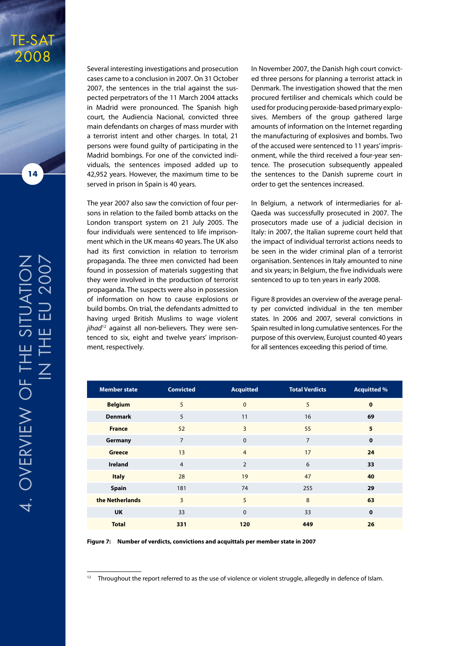

TE-SAT

2008

Several interesting investigations and prosecution cases came to a conclusion in 2007. On 31 October 2007, the sentences in the trial against the suspected perpetrators of the 11 March 2004 attacks in Madrid were pronounced. The Spanish high court, the Audiencia Nacional, convicted three main defendants on charges of mass murder with a terrorist intent and other charges. In total, 21 persons were found guilty of participating in the Madrid bombings. For one of the convicted individuals, the sentences imposed added up to 42,952 years. However, the maximum time to be served in prison in Spain is 40 years.

The year 2007 also saw the conviction of four persons in relation to the failed bomb attacks on the London transport system on 21 July 2005. The four individuals were sentenced to life imprisonment which in the UK means 40 years. The UK also had its first conviction in relation to terrorism propaganda. The three men convicted had been found in possession of materials suggesting that they were involved in the production of terrorist propaganda. The suspects were also in possession of information on how to cause explosions or build bombs. On trial, the defendants admitted to having urged British Muslims to wage violent jihad<sup>12</sup> against all non-believers. They were sentenced to six, eight and twelve years' imprisonment, respectively.

In November 2007, the Danish high court convicted three persons for planning a terrorist attack in Denmark. The investigation showed that the men procured fertiliser and chemicals which could be used for producing peroxide-based primary explosives. Members of the group gathered large amounts of information on the Internet regarding the manufacturing of explosives and bombs. Two of the accused were sentenced to 11 years' imprisonment, while the third received a four-year sentence. The prosecution subsequently appealed the sentences to the Danish supreme court in order to get the sentences increased.

In Belgium, a network of intermediaries for al-Qaeda was successfully prosecuted in 2007. The prosecutors made use of a judicial decision in Italy: in 2007, the Italian supreme court held that the impact of individual terrorist actions needs to be seen in the wider criminal plan of a terrorist organisation. Sentences in Italy amounted to nine and six years; in Belgium, the five individuals were sentenced to up to ten years in early 2008.

Figure 8 provides an overview of the average penalty per convicted individual in the ten member states. In 2006 and 2007, several convictions in Spain resulted in long cumulative sentences. For the purpose of this overview, Eurojust counted 40 years for all sentences exceeding this period of time.

| <b>Member state</b> | <b>Convicted</b> | <b>Acquitted</b> | <b>Total Verdicts</b> | <b>Acquitted %</b> |
|---------------------|------------------|------------------|-----------------------|--------------------|
| <b>Belgium</b>      | 5                | $\Omega$         | 5                     | $\mathbf 0$        |
| <b>Denmark</b>      | 5                | 11               | 16                    | 69                 |
| <b>France</b>       | 52               | 3                | 55                    | 5                  |
| Germany             | $\overline{7}$   | $\mathbf 0$      | $\overline{7}$        | $\mathbf 0$        |
| <b>Greece</b>       | 13               | $\overline{4}$   | 17                    | 24                 |
| <b>Ireland</b>      | $\overline{4}$   | $\overline{2}$   | 6                     | 33                 |
| <b>Italy</b>        | 28               | 19               | 47                    | 40                 |
| <b>Spain</b>        | 181              | 74               | 255                   | 29                 |
| the Netherlands     | $\overline{3}$   | 5                | 8                     | 63                 |
| <b>UK</b>           | 33               | $\mathbf 0$      | 33                    | $\mathbf 0$        |
| <b>Total</b>        | 331              | 120              | 449                   | 26                 |

**Figure 7: Number of verdicts, convictions and acquittals per member state in 2007**

<sup>&</sup>lt;sup>12</sup> Throughout the report referred to as the use of violence or violent struggle, allegedly in defence of Islam.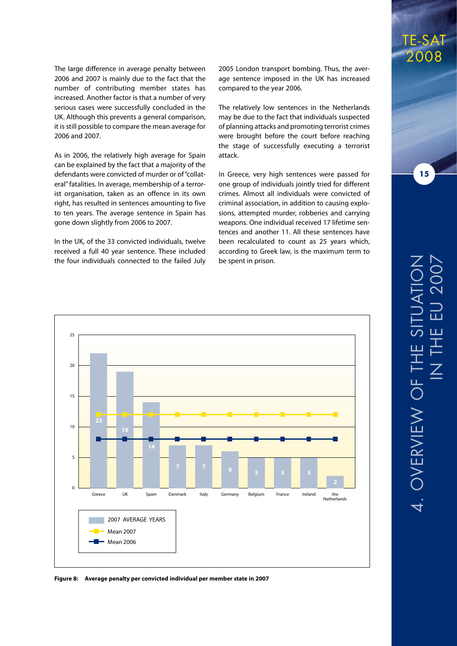The large difference in average penalty between 2006 and 2007 is mainly due to the fact that the number of contributing member states has increased. Another factor is that a number of very serious cases were successfully concluded in the UK. Although this prevents a general comparison, it is still possible to compare the mean average for 2006 and 2007.

As in 2006, the relatively high average for Spain can be explained by the fact that a majority of the defendants were convicted of murder or of "collateral" fatalities. In average, membership of a terrorist organisation, taken as an offence in its own right, has resulted in sentences amounting to five to ten years. The average sentence in Spain has gone down slightly from 2006 to 2007.

In the UK, of the 33 convicted individuals, twelve received a full 40 year sentence. These included the four individuals connected to the failed July

2005 London transport bombing. Thus, the average sentence imposed in the UK has increased compared to the year 2006.

The relatively low sentences in the Netherlands may be due to the fact that individuals suspected of planning attacks and promoting terrorist crimes were brought before the court before reaching the stage of successfully executing a terrorist attack.

In Greece, very high sentences were passed for one group of individuals jointly tried for different crimes. Almost all individuals were convicted of criminal association, in addition to causing explosions, attempted murder, robberies and carrying weapons. One individual received 17 lifetime sentences and another 11. All these sentences have been recalculated to count as 25 years which, according to Greek law, is the maximum term to be spent in prison.



**Figure 8: Average penalty per convicted individual per member state in 2007** 

### TE-SAT 2008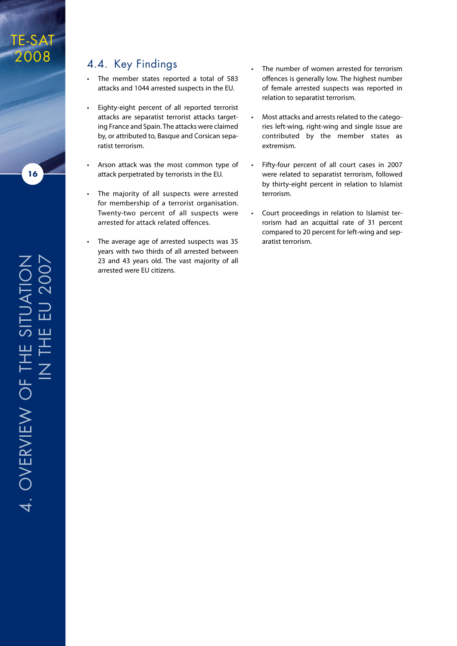#### 4.4. Key Findings

- • The member states reported a total of 583 attacks and 1044 arrested suspects in the EU.
- • Eighty-eight percent of all reported terrorist attacks are separatist terrorist attacks targeting France and Spain. The attacks were claimed by, or attributed to, Basque and Corsican separatist terrorism.
- • Arson attack was the most common type of attack perpetrated by terrorists in the EU.
- • The majority of all suspects were arrested for membership of a terrorist organisation. Twenty-two percent of all suspects were arrested for attack related offences.
- The average age of arrested suspects was 35 years with two thirds of all arrested between 23 and 43 years old. The vast majority of all arrested were EU citizens.
- The number of women arrested for terrorism offences is generally low. The highest number of female arrested suspects was reported in relation to separatist terrorism.
- Most attacks and arrests related to the categories left-wing, right-wing and single issue are contributed by the member states as extremism.
- Fifty-four percent of all court cases in 2007 were related to separatist terrorism, followed by thirty-eight percent in relation to Islamist terrorism.
- Court proceedings in relation to Islamist terrorism had an acquittal rate of 31 percent compared to 20 percent for left-wing and separatist terrorism.

e EU 2007e Situation 一 ш,  $\overline{\bot}$  $\vdash$ 工  $\overline{\angle}$  $\vdash$ u<br>O view 4. OVER

TE-SAT

2008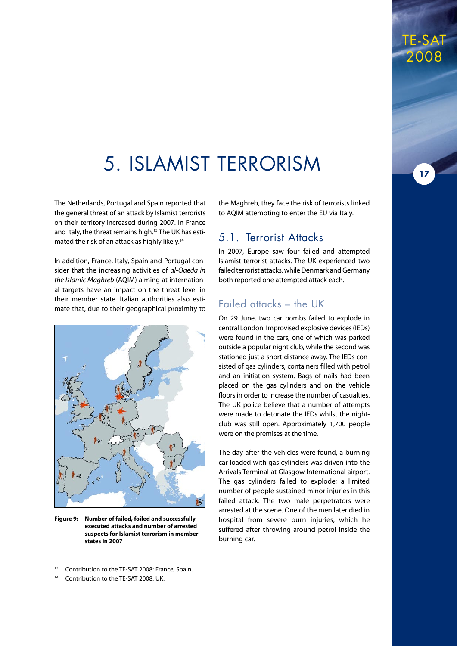# 5. Islamist Terrorism

The Netherlands, Portugal and Spain reported that the general threat of an attack by Islamist terrorists on their territory increased during 2007. In France and Italy, the threat remains high.13 The UK has estimated the risk of an attack as highly likely.<sup>14</sup>

In addition, France, Italy, Spain and Portugal consider that the increasing activities of *al-Qaeda in the Islamic Maghreb* (AQIM) aiming at international targets have an impact on the threat level in their member state. Italian authorities also estimate that, due to their geographical proximity to



**Figure 9: Number of failed, foiled and successfully executed attacks and number of arrested suspects for Islamist terrorism in member states in 2007**

the Maghreb, they face the risk of terrorists linked to AQIM attempting to enter the EU via Italy.

#### 5.1. Terrorist Attacks

In 2007, Europe saw four failed and attempted Islamist terrorist attacks. The UK experienced two failed terrorist attacks, while Denmark and Germany both reported one attempted attack each.

#### Failed attacks – the UK

On 29 June, two car bombs failed to explode in central London. Improvised explosive devices (IEDs) were found in the cars, one of which was parked outside a popular night club, while the second was stationed just a short distance away. The IEDs consisted of gas cylinders, containers filled with petrol and an initiation system. Bags of nails had been placed on the gas cylinders and on the vehicle floors in order to increase the number of casualties. The UK police believe that a number of attempts were made to detonate the IEDs whilst the nightclub was still open. Approximately 1,700 people were on the premises at the time.

The day after the vehicles were found, a burning car loaded with gas cylinders was driven into the Arrivals Terminal at Glasgow International airport. The gas cylinders failed to explode; a limited number of people sustained minor injuries in this failed attack. The two male perpetrators were arrested at the scene. One of the men later died in hospital from severe burn injuries, which he suffered after throwing around petrol inside the burning car.

Contribution to the TE-SAT 2008: France, Spain.

<sup>&</sup>lt;sup>14</sup> Contribution to the TE-SAT 2008: UK.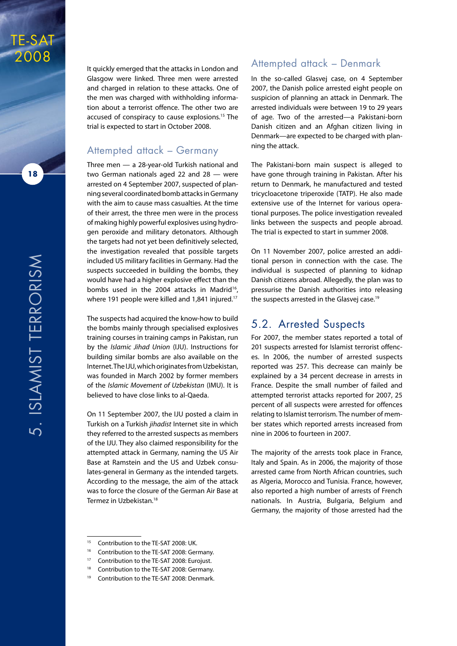

**18**

It quickly emerged that the attacks in London and Glasgow were linked. Three men were arrested and charged in relation to these attacks. One of the men was charged with withholding information about a terrorist offence. The other two are accused of conspiracy to cause explosions.15 The trial is expected to start in October 2008.

#### Attempted attack – Germany

Three men — a 28-year-old Turkish national and two German nationals aged 22 and 28 — were arrested on 4 September 2007, suspected of planning several coordinated bomb attacks in Germany with the aim to cause mass casualties. At the time of their arrest, the three men were in the process of making highly powerful explosives using hydrogen peroxide and military detonators. Although the targets had not yet been definitively selected, the investigation revealed that possible targets included US military facilities in Germany. Had the suspects succeeded in building the bombs, they would have had a higher explosive effect than the bombs used in the 2004 attacks in Madrid<sup>16</sup>, where 191 people were killed and 1,841 injured.<sup>17</sup>

The suspects had acquired the know-how to build the bombs mainly through specialised explosives training courses in training camps in Pakistan, run by the *Islamic Jihad Union* (IJU). Instructions for building similar bombs are also available on the Internet. The IJU, which originates from Uzbekistan, was founded in March 2002 by former members of the *Islamic Movement of Uzbekistan* (IMU). It is believed to have close links to al-Qaeda.

On 11 September 2007, the IJU posted a claim in Turkish on a Turkish *jihadist* Internet site in which they referred to the arrested suspects as members of the IJU. They also claimed responsibility for the attempted attack in Germany, naming the US Air Base at Ramstein and the US and Uzbek consulates-general in Germany as the intended targets. According to the message, the aim of the attack was to force the closure of the German Air Base at Termez in Uzbekistan.18

#### Attempted attack – Denmark

In the so-called Glasvej case, on 4 September 2007, the Danish police arrested eight people on suspicion of planning an attack in Denmark. The arrested individuals were between 19 to 29 years of age. Two of the arrested—a Pakistani-born Danish citizen and an Afghan citizen living in Denmark—are expected to be charged with planning the attack.

The Pakistani-born main suspect is alleged to have gone through training in Pakistan. After his return to Denmark, he manufactured and tested tricycloacetone triperoxide (TATP). He also made extensive use of the Internet for various operational purposes. The police investigation revealed links between the suspects and people abroad. The trial is expected to start in summer 2008.

On 11 November 2007, police arrested an additional person in connection with the case. The individual is suspected of planning to kidnap Danish citizens abroad. Allegedly, the plan was to pressurise the Danish authorities into releasing the suspects arrested in the Glasvei case.<sup>19</sup>

#### 5.2. Arrested Suspects

For 2007, the member states reported a total of 201 suspects arrested for Islamist terrorist offences. In 2006, the number of arrested suspects reported was 257. This decrease can mainly be explained by a 34 percent decrease in arrests in France. Despite the small number of failed and attempted terrorist attacks reported for 2007, 25 percent of all suspects were arrested for offences relating to Islamist terrorism. The number of member states which reported arrests increased from nine in 2006 to fourteen in 2007.

The majority of the arrests took place in France, Italy and Spain. As in 2006, the majority of those arrested came from North African countries, such as Algeria, Morocco and Tunisia. France, however, also reported a high number of arrests of French nationals. In Austria, Bulgaria, Belgium and Germany, the majority of those arrested had the

- Contribution to the TE-SAT 2008: Germany.
- <sup>17</sup> Contribution to the TE-SAT 2008: Eurojust.
- Contribution to the TE-SAT 2008: Germany.

<sup>&</sup>lt;sup>15</sup> Contribution to the TE-SAT 2008: UK.

<sup>&</sup>lt;sup>19</sup> Contribution to the TE-SAT 2008: Denmark.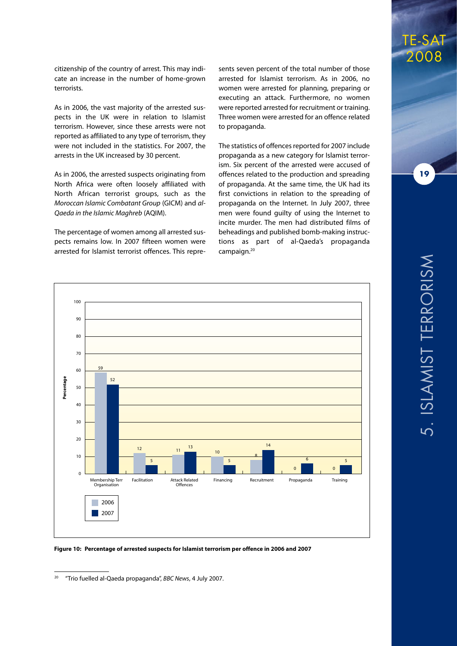citizenship of the country of arrest. This may indicate an increase in the number of home-grown terrorists.

As in 2006, the vast majority of the arrested suspects in the UK were in relation to Islamist terrorism. However, since these arrests were not reported as affiliated to any type of terrorism, they were not included in the statistics. For 2007, the arrests in the UK increased by 30 percent.

As in 2006, the arrested suspects originating from North Africa were often loosely affiliated with North African terrorist groups, such as the *Moroccan Islamic Combatant Group* (GICM) and *al-Qaeda in the Islamic Maghreb* (AQIM).

The percentage of women among all arrested suspects remains low. In 2007 fifteen women were arrested for Islamist terrorist offences. This repre-

sents seven percent of the total number of those arrested for Islamist terrorism. As in 2006, no women were arrested for planning, preparing or executing an attack. Furthermore, no women were reported arrested for recruitment or training. Three women were arrested for an offence related to propaganda.

The statistics of offences reported for 2007 include propaganda as a new category for Islamist terrorism. Six percent of the arrested were accused of offences related to the production and spreading of propaganda. At the same time, the UK had its first convictions in relation to the spreading of propaganda on the Internet. In July 2007, three men were found guilty of using the Internet to incite murder. The men had distributed films of beheadings and published bomb-making instructions as part of al-Qaeda's propaganda campaign.20



**Figure 10: Percentage of arrested suspects for Islamist terrorism per offence in 2006 and 2007**

TE-SAT 2008

<sup>20</sup> "Trio fuelled al-Qaeda propaganda", *BBC News*, 4 July 2007.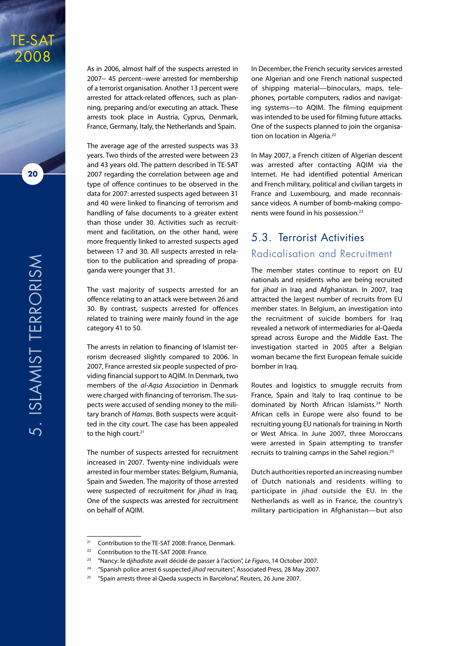

TE-SAT 2008

> As in 2006, almost half of the suspects arrested in 2007-- 45 percent--were arrested for membership of a terrorist organisation. Another 13 percent were arrested for attack-related offences, such as planning, preparing and/or executing an attack. These arrests took place in Austria, Cyprus, Denmark, France, Germany, Italy, the Netherlands and Spain.

> The average age of the arrested suspects was 33 years. Two thirds of the arrested were between 23 and 43 years old. The pattern described in TE-SAT 2007 regarding the correlation between age and type of offence continues to be observed in the data for 2007: arrested suspects aged between 31 and 40 were linked to financing of terrorism and handling of false documents to a greater extent than those under 30. Activities such as recruitment and facilitation, on the other hand, were more frequently linked to arrested suspects aged between 17 and 30. All suspects arrested in relation to the publication and spreading of propaganda were younger that 31.

> The vast majority of suspects arrested for an offence relating to an attack were between 26 and 30. By contrast, suspects arrested for offences related to training were mainly found in the age category 41 to 50.

> The arrests in relation to financing of Islamist terrorism decreased slightly compared to 2006. In 2007, France arrested six people suspected of providing financial support to AQIM. In Denmark, two members of the *al-Aqsa Association* in Denmark were charged with financing of terrorism. The suspects were accused of sending money to the military branch of *Hamas*. Both suspects were acquitted in the city court. The case has been appealed to the high court.<sup>21</sup>

> The number of suspects arrested for recruitment increased in 2007. Twenty-nine individuals were arrested in four member states: Belgium, Rumania, Spain and Sweden. The majority of those arrested were suspected of recruitment for *jihad* in Iraq. One of the suspects was arrested for recruitment on behalf of AQIM.

In December, the French security services arrested one Algerian and one French national suspected of shipping material—binoculars, maps, telephones, portable computers, radios and navigating systems—to AQIM. The filming equipment was intended to be used for filming future attacks. One of the suspects planned to join the organisation on location in Algeria.<sup>22</sup>

In May 2007, a French citizen of Algerian descent was arrested after contacting AQIM via the Internet. He had identified potential American and French military, political and civilian targets in France and Luxembourg, and made reconnaissance videos. A number of bomb-making components were found in his possession.<sup>23</sup>

#### 5.3. Terrorist Activities Radicalisation and Recruitment

The member states continue to report on EU nationals and residents who are being recruited for *jihad* in Iraq and Afghanistan. In 2007, Iraq attracted the largest number of recruits from EU member states. In Belgium, an investigation into the recruitment of suicide bombers for Iraq revealed a network of intermediaries for al-Qaeda spread across Europe and the Middle East. The investigation started in 2005 after a Belgian woman became the first European female suicide bomber in Iraq.

Routes and logistics to smuggle recruits from France, Spain and Italy to Iraq continue to be dominated by North African Islamists.<sup>24</sup> North African cells in Europe were also found to be recruiting young EU nationals for training in North or West Africa. In June 2007, three Moroccans were arrested in Spain attempting to transfer recruits to training camps in the Sahel region.<sup>25</sup>

Dutch authorities reported an increasing number of Dutch nationals and residents willing to participate in *jihad* outside the EU. In the Netherlands as well as in France, the country's military participation in Afghanistan—but also

<sup>21</sup> Contribution to the TE-SAT 2008: France, Denmark.

<sup>&</sup>lt;sup>22</sup> Contribution to the TE-SAT 2008: France.

<sup>23</sup> "Nancy: le d*jihad*iste avait décidé de passer à l'action", *Le Figaro*, 14 October 2007.

<sup>&</sup>lt;sup>24</sup> "Spanish police arrest 6 suspected *jihad* recruiters", Associated Press, 28 May 2007.

<sup>&</sup>lt;sup>25</sup> "Spain arrests three al Qaeda suspects in Barcelona", Reuters, 26 June 2007.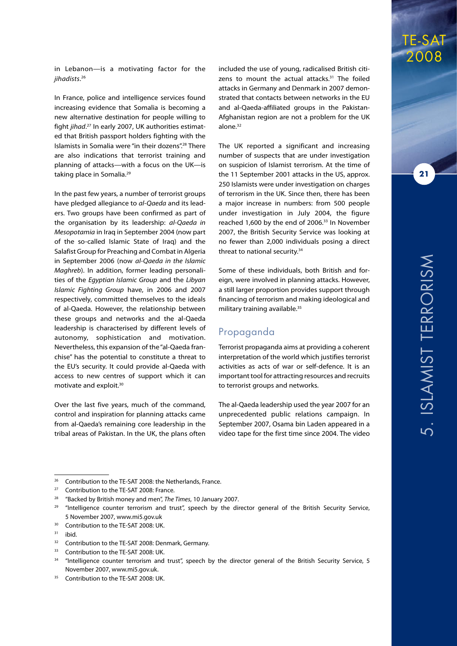in Lebanon—is a motivating factor for the *jihadists*. 26

In France, police and intelligence services found increasing evidence that Somalia is becoming a new alternative destination for people willing to fight *jihad*. 27 In early 2007, UK authorities estimated that British passport holders fighting with the Islamists in Somalia were "in their dozens".28 There are also indications that terrorist training and planning of attacks—with a focus on the UK—is taking place in Somalia.<sup>29</sup>

In the past few years, a number of terrorist groups have pledged allegiance to *al-Qaeda* and its leaders. Two groups have been confirmed as part of the organisation by its leadership: *al-Qaeda in Mesopotamia* in Iraq in September 2004 (now part of the so-called Islamic State of Iraq) and the Salafist Group for Preaching and Combat in Algeria in September 2006 (now *al-Qaeda in the Islamic Maghreb*). In addition, former leading personalities of the *Egyptian Islamic Group* and the *Libyan Islamic Fighting Group* have, in 2006 and 2007 respectively, committed themselves to the ideals of al-Qaeda. However, the relationship between these groups and networks and the al-Qaeda leadership is characterised by different levels of autonomy, sophistication and motivation. Nevertheless, this expansion of the "al-Qaeda franchise" has the potential to constitute a threat to the EU's security. It could provide al-Qaeda with access to new centres of support which it can motivate and exploit.30

Over the last five years, much of the command, control and inspiration for planning attacks came from al-Qaeda's remaining core leadership in the tribal areas of Pakistan. In the UK, the plans often included the use of young, radicalised British citizens to mount the actual attacks.<sup>31</sup> The foiled attacks in Germany and Denmark in 2007 demonstrated that contacts between networks in the EU and al-Qaeda-affiliated groups in the Pakistan-Afghanistan region are not a problem for the UK alone.<sup>32</sup>

The UK reported a significant and increasing number of suspects that are under investigation on suspicion of Islamist terrorism. At the time of the 11 September 2001 attacks in the US, approx. 250 Islamists were under investigation on charges of terrorism in the UK. Since then, there has been a major increase in numbers: from 500 people under investigation in July 2004, the figure reached 1,600 by the end of 2006.<sup>33</sup> In November 2007, the British Security Service was looking at no fewer than 2,000 individuals posing a direct threat to national security.<sup>34</sup>

Some of these individuals, both British and foreign, were involved in planning attacks. However, a still larger proportion provides support through financing of terrorism and making ideological and military training available.<sup>35</sup>

#### Propaganda

Terrorist propaganda aims at providing a coherent interpretation of the world which justifies terrorist activities as acts of war or self-defence. It is an important tool for attracting resources and recruits to terrorist groups and networks.

The al-Qaeda leadership used the year 2007 for an unprecedented public relations campaign. In September 2007, Osama bin Laden appeared in a video tape for the first time since 2004. The video TE-SAT

2008

<sup>&</sup>lt;sup>26</sup> Contribution to the TE-SAT 2008: the Netherlands, France.

<sup>&</sup>lt;sup>27</sup> Contribution to the TE-SAT 2008: France.

<sup>28</sup> "Backed by British money and men", *The Times*, 10 January 2007.

 $29$  "Intelligence counter terrorism and trust", speech by the director general of the British Security Service, 5 November 2007, www.mi5.gov.uk

<sup>&</sup>lt;sup>30</sup> Contribution to the TE-SAT 2008: UK.

 $31$  ibid.

<sup>&</sup>lt;sup>32</sup> Contribution to the TE-SAT 2008: Denmark, Germany.

<sup>&</sup>lt;sup>33</sup> Contribution to the TE-SAT 2008: UK.

<sup>&</sup>lt;sup>34</sup> "Intelligence counter terrorism and trust", speech by the director general of the British Security Service, 5 November 2007, www.mi5.gov.uk.

<sup>&</sup>lt;sup>35</sup> Contribution to the TE-SAT 2008: UK.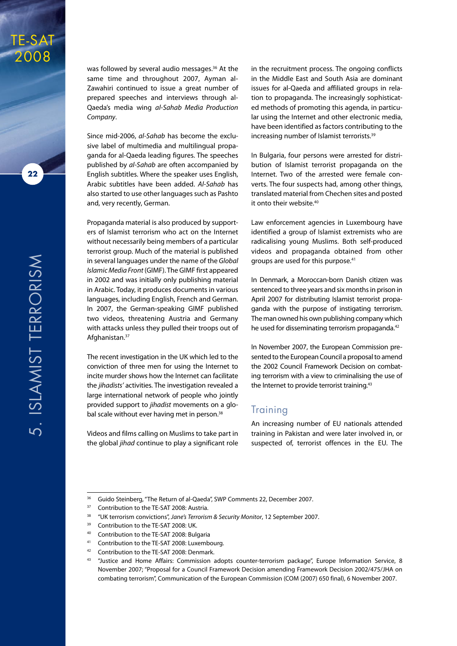

**22**

was followed by several audio messages.<sup>36</sup> At the same time and throughout 2007, Ayman al-Zawahiri continued to issue a great number of prepared speeches and interviews through al-Qaeda's media wing *al-Sahab Media Production Company*.

Since mid-2006, *al-Sahab* has become the exclusive label of multimedia and multilingual propaganda for al-Qaeda leading figures. The speeches published by *al-Sahab* are often accompanied by English subtitles. Where the speaker uses English, Arabic subtitles have been added. *Al-Sahab* has also started to use other languages such as Pashto and, very recently, German.

Propaganda material is also produced by supporters of Islamist terrorism who act on the Internet without necessarily being members of a particular terrorist group. Much of the material is published in several languages under the name of the *Global Islamic Media Front* (GIMF). The GIMF first appeared in 2002 and was initially only publishing material in Arabic. Today, it produces documents in various languages, including English, French and German. In 2007, the German-speaking GIMF published two videos, threatening Austria and Germany with attacks unless they pulled their troops out of Afghanistan.37

The recent investigation in the UK which led to the conviction of three men for using the Internet to incite murder shows how the Internet can facilitate the *jihadists'* activities. The investigation revealed a large international network of people who jointly provided support to *jihadist* movements on a global scale without ever having met in person.<sup>38</sup>

Videos and films calling on Muslims to take part in the global *jihad* continue to play a significant role in the recruitment process. The ongoing conflicts in the Middle East and South Asia are dominant issues for al-Qaeda and affiliated groups in relation to propaganda. The increasingly sophisticated methods of promoting this agenda, in particular using the Internet and other electronic media, have been identified as factors contributing to the increasing number of Islamist terrorists.<sup>39</sup>

In Bulgaria, four persons were arrested for distribution of Islamist terrorist propaganda on the Internet. Two of the arrested were female converts. The four suspects had, among other things, translated material from Chechen sites and posted it onto their website.<sup>40</sup>

Law enforcement agencies in Luxembourg have identified a group of Islamist extremists who are radicalising young Muslims. Both self-produced videos and propaganda obtained from other groups are used for this purpose.<sup>41</sup>

In Denmark, a Moroccan-born Danish citizen was sentenced to three years and six months in prison in April 2007 for distributing Islamist terrorist propaganda with the purpose of instigating terrorism. The man owned his own publishing company which he used for disseminating terrorism propaganda.<sup>42</sup>

In November 2007, the European Commission presented to the European Council a proposal to amend the 2002 Council Framework Decision on combating terrorism with a view to criminalising the use of the Internet to provide terrorist training.<sup>43</sup>

#### **Training**

An increasing number of EU nationals attended training in Pakistan and were later involved in, or suspected of, terrorist offences in the EU. The

<sup>&</sup>lt;sup>36</sup> Guido Steinberg, "The Return of al-Qaeda", SWP Comments 22, December 2007.

<sup>&</sup>lt;sup>37</sup> Contribution to the TE-SAT 2008: Austria.

<sup>38</sup> "UK terrorism convictions", *Jane's Terrorism & Security Monitor*, 12 September 2007.

<sup>&</sup>lt;sup>39</sup> Contribution to the TE-SAT 2008: UK.

<sup>40</sup> Contribution to the TE-SAT 2008: Bulgaria

<sup>&</sup>lt;sup>41</sup> Contribution to the TE-SAT 2008: Luxembourg.

<sup>42</sup> Contribution to the TE-SAT 2008: Denmark.

<sup>43 &</sup>quot;Justice and Home Affairs: Commission adopts counter-terrorism package", Europe Information Service, 8 November 2007; "Proposal for a Council Framework Decision amending Framework Decision 2002/475/JHA on combating terrorism", Communication of the European Commission (COM (2007) 650 final), 6 November 2007.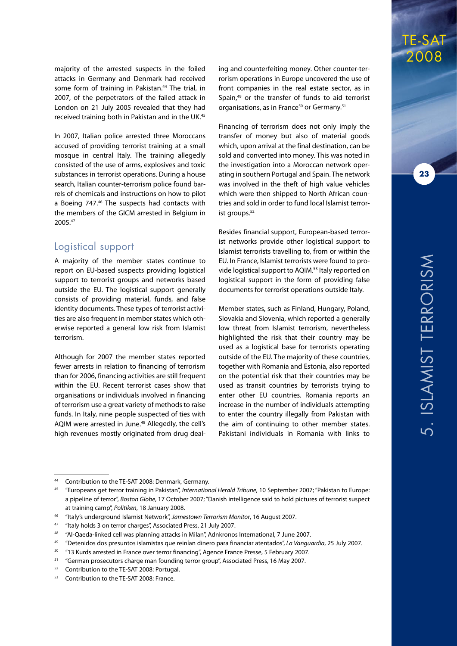majority of the arrested suspects in the foiled attacks in Germany and Denmark had received some form of training in Pakistan.<sup>44</sup> The trial, in 2007, of the perpetrators of the failed attack in London on 21 July 2005 revealed that they had received training both in Pakistan and in the UK.45

In 2007, Italian police arrested three Moroccans accused of providing terrorist training at a small mosque in central Italy. The training allegedly consisted of the use of arms, explosives and toxic substances in terrorist operations. During a house search, Italian counter-terrorism police found barrels of chemicals and instructions on how to pilot a Boeing 747.46 The suspects had contacts with the members of the GICM arrested in Belgium in 2005.47

#### Logistical support

A majority of the member states continue to report on EU-based suspects providing logistical support to terrorist groups and networks based outside the EU. The logistical support generally consists of providing material, funds, and false identity documents. These types of terrorist activities are also frequent in member states which otherwise reported a general low risk from Islamist terrorism.

Although for 2007 the member states reported fewer arrests in relation to financing of terrorism than for 2006, financing activities are still frequent within the EU. Recent terrorist cases show that organisations or individuals involved in financing of terrorism use a great variety of methods to raise funds. In Italy, nine people suspected of ties with AQIM were arrested in June.<sup>48</sup> Allegedly, the cell's high revenues mostly originated from drug deal-

ing and counterfeiting money. Other counter-terrorism operations in Europe uncovered the use of front companies in the real estate sector, as in Spain,<sup>49</sup> or the transfer of funds to aid terrorist organisations, as in France<sup>50</sup> or Germany.<sup>51</sup>

Financing of terrorism does not only imply the transfer of money but also of material goods which, upon arrival at the final destination, can be sold and converted into money. This was noted in the investigation into a Moroccan network operating in southern Portugal and Spain. The network was involved in the theft of high value vehicles which were then shipped to North African countries and sold in order to fund local Islamist terrorist groups.<sup>52</sup>

Besides financial support, European-based terrorist networks provide other logistical support to Islamist terrorists travelling to, from or within the EU. In France, Islamist terrorists were found to provide logistical support to AQIM.53 Italy reported on logistical support in the form of providing false documents for terrorist operations outside Italy.

Member states, such as Finland, Hungary, Poland, Slovakia and Slovenia, which reported a generally low threat from Islamist terrorism, nevertheless highlighted the risk that their country may be used as a logistical base for terrorists operating outside of the EU. The majority of these countries, together with Romania and Estonia, also reported on the potential risk that their countries may be used as transit countries by terrorists trying to enter other EU countries. Romania reports an increase in the number of individuals attempting to enter the country illegally from Pakistan with the aim of continuing to other member states. Pakistani individuals in Romania with links to

TE-SAT 2008

<sup>44</sup> Contribution to the TE-SAT 2008: Denmark, Germany.

<sup>45</sup> "Europeans get terror training in Pakistan", *International Herald Tribune*, 10 September 2007; "Pakistan to Europe: a pipeline of terror", *Boston Globe*, 17 October 2007; "Danish intelligence said to hold pictures of terrorist suspect at training camp", *Politiken*, 18 January 2008.

<sup>46</sup> "Italy's underground Islamist Network", *Jamestown Terrorism Monitor*, 16 August 2007.

<sup>47</sup> "Italy holds 3 on terror charges", Associated Press, 21 July 2007.

<sup>48</sup> "Al-Qaeda-linked cell was planning attacks in Milan", Adnkronos International, 7 June 2007.

<sup>49</sup> "Detenidos dos presuntos islamistas que reinían dinero para financiar atentados", *La Vanguardia*, 25 July 2007.

<sup>50</sup> "13 Kurds arrested in France over terror financing", Agence France Presse, 5 February 2007.

<sup>51</sup> "German prosecutors charge man founding terror group", Associated Press, 16 May 2007.

<sup>52</sup> Contribution to the TE-SAT 2008: Portugal.

<sup>53</sup> Contribution to the TE-SAT 2008: France.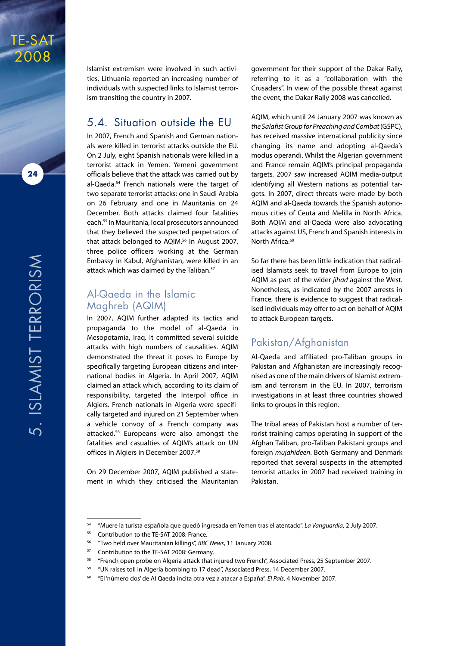

TE-SAT 2008

> Islamist extremism were involved in such activities. Lithuania reported an increasing number of individuals with suspected links to Islamist terrorism transiting the country in 2007.

#### 5.4. Situation outside the EU

In 2007, French and Spanish and German nationals were killed in terrorist attacks outside the EU. On 2 July, eight Spanish nationals were killed in a terrorist attack in Yemen. Yemeni government officials believe that the attack was carried out by al-Qaeda.<sup>54</sup> French nationals were the target of two separate terrorist attacks: one in Saudi Arabia on 26 February and one in Mauritania on 24 December. Both attacks claimed four fatalities each.55 In Mauritania, local prosecutors announced that they believed the suspected perpetrators of that attack belonged to AQIM.<sup>56</sup> In August 2007, three police officers working at the German Embassy in Kabul, Afghanistan, were killed in an attack which was claimed by the Taliban.<sup>57</sup>

#### Al-Qaeda in the Islamic Maghreb (AQIM)

In 2007, AQIM further adapted its tactics and propaganda to the model of al-Qaeda in Mesopotamia, Iraq. It committed several suicide attacks with high numbers of causalities. AQIM demonstrated the threat it poses to Europe by specifically targeting European citizens and international bodies in Algeria. In April 2007, AQIM claimed an attack which, according to its claim of responsibility, targeted the Interpol office in Algiers. French nationals in Algeria were specifically targeted and injured on 21 September when a vehicle convoy of a French company was attacked.58 Europeans were also amongst the fatalities and casualties of AQIM's attack on UN offices in Algiers in December 2007.59

On 29 December 2007, AQIM published a statement in which they criticised the Mauritanian government for their support of the Dakar Rally, referring to it as a "collaboration with the Crusaders". In view of the possible threat against the event, the Dakar Rally 2008 was cancelled.

AQIM, which until 24 January 2007 was known as *the Salafist Group for Preaching and Combat* (GSPC), has received massive international publicity since changing its name and adopting al-Qaeda's modus operandi. Whilst the Algerian government and France remain AQIM's principal propaganda targets, 2007 saw increased AQIM media-output identifying all Western nations as potential targets. In 2007, direct threats were made by both AQIM and al-Qaeda towards the Spanish autonomous cities of Ceuta and Melilla in North Africa. Both AQIM and al-Qaeda were also advocating attacks against US, French and Spanish interests in North Africa.<sup>60</sup>

So far there has been little indication that radicalised Islamists seek to travel from Europe to join AQIM as part of the wider *jihad* against the West. Nonetheless, as indicated by the 2007 arrests in France, there is evidence to suggest that radicalised individuals may offer to act on behalf of AQIM to attack European targets.

#### Pakistan/Afghanistan

Al-Qaeda and affiliated pro-Taliban groups in Pakistan and Afghanistan are increasingly recognised as one of the main drivers of Islamist extremism and terrorism in the EU. In 2007, terrorism investigations in at least three countries showed links to groups in this region.

The tribal areas of Pakistan host a number of terrorist training camps operating in support of the Afghan Taliban, pro-Taliban Pakistani groups and foreign *mujahideen*. Both Germany and Denmark reported that several suspects in the attempted terrorist attacks in 2007 had received training in Pakistan.

<sup>54</sup> "Muere la turista española que quedó ingresada en Yemen tras el atentado", *La Vanguardia*, 2 July 2007.

<sup>&</sup>lt;sup>55</sup> Contribution to the TE-SAT 2008: France.

<sup>56</sup> "Two held over Mauritanian killings", *BBC News*, 11 January 2008.

<sup>57</sup> Contribution to the TE-SAT 2008: Germany.

<sup>58</sup> "French open probe on Algeria attack that injured two French", Associated Press, 25 September 2007.

<sup>59</sup> "UN raises toll in Algeria bombing to 17 dead", Associated Press, 14 December 2007.

<sup>60</sup> "El 'número dos' de Al Qaeda incita otra vez a atacar a España", *El País*, 4 November 2007.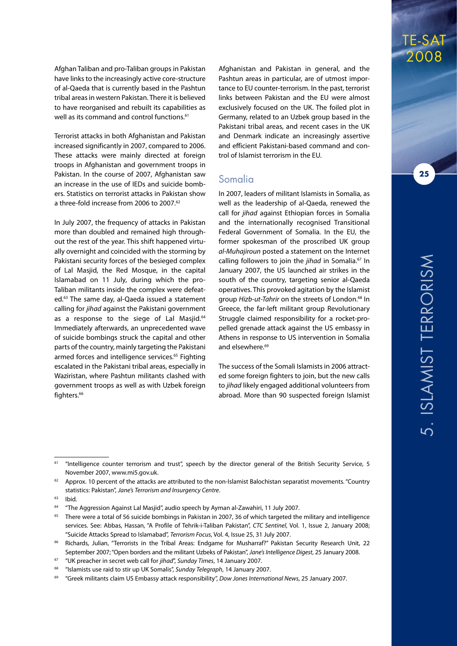Afghan Taliban and pro-Taliban groups in Pakistan have links to the increasingly active core-structure of al-Qaeda that is currently based in the Pashtun tribal areas in western Pakistan. There it is believed to have reorganised and rebuilt its capabilities as well as its command and control functions.<sup>61</sup>

Terrorist attacks in both Afghanistan and Pakistan increased significantly in 2007, compared to 2006. These attacks were mainly directed at foreign troops in Afghanistan and government troops in Pakistan. In the course of 2007, Afghanistan saw an increase in the use of IEDs and suicide bombers. Statistics on terrorist attacks in Pakistan show a three-fold increase from 2006 to 2007.62

In July 2007, the frequency of attacks in Pakistan more than doubled and remained high throughout the rest of the year. This shift happened virtually overnight and coincided with the storming by Pakistani security forces of the besieged complex of Lal Masjid, the Red Mosque, in the capital Islamabad on 11 July, during which the pro-Taliban militants inside the complex were defeated.63 The same day, al-Qaeda issued a statement calling for *jihad* against the Pakistani government as a response to the siege of Lal Masjid.<sup>64</sup> Immediately afterwards, an unprecedented wave of suicide bombings struck the capital and other parts of the country, mainly targeting the Pakistani armed forces and intelligence services.<sup>65</sup> Fighting escalated in the Pakistani tribal areas, especially in Waziristan, where Pashtun militants clashed with government troops as well as with Uzbek foreign fighters.<sup>66</sup>

Afghanistan and Pakistan in general, and the Pashtun areas in particular, are of utmost importance to EU counter-terrorism. In the past, terrorist links between Pakistan and the EU were almost exclusively focused on the UK. The foiled plot in Germany, related to an Uzbek group based in the Pakistani tribal areas, and recent cases in the UK and Denmark indicate an increasingly assertive and efficient Pakistani-based command and control of Islamist terrorism in the EU.

#### Somalia

In 2007, leaders of militant Islamists in Somalia, as well as the leadership of al-Qaeda, renewed the call for *jihad* against Ethiopian forces in Somalia and the internationally recognised Transitional Federal Government of Somalia. In the EU, the former spokesman of the proscribed UK group *al-Muhajiroun* posted a statement on the Internet calling followers to join the *jihad* in Somalia.<sup>67</sup> In January 2007, the US launched air strikes in the south of the country, targeting senior al-Qaeda operatives. This provoked agitation by the Islamist aroup *Hizb-ut-Tahrir* on the streets of London.<sup>68</sup> In Greece, the far-left militant group Revolutionary Struggle claimed responsibility for a rocket-propelled grenade attack against the US embassy in Athens in response to US intervention in Somalia and elsewhere.<sup>69</sup>

The success of the Somali Islamists in 2006 attracted some foreign fighters to join, but the new calls to *jihad* likely engaged additional volunteers from abroad. More than 90 suspected foreign Islamist

ا<br>5.<br>ا

 $\mathcal{S}$ 

TE-SAT 2008

<sup>61</sup> "Intelligence counter terrorism and trust", speech by the director general of the British Security Service, 5 November 2007, www.mi5.gov.uk.

Approx. 10 percent of the attacks are attributed to the non-Islamist Balochistan separatist movements. "Country statistics: Pakistan", *Jane's Terrorism and Insurgency Centre*.

 $63$  Ibid.

<sup>64</sup> "The Aggression Against Lal Masjid", audio speech by Ayman al-Zawahiri, 11 July 2007.

<sup>&</sup>lt;sup>65</sup> There were a total of 56 suicide bombings in Pakistan in 2007, 36 of which targeted the military and intelligence services. See: Abbas, Hassan, "A Profile of Tehrik-i-Taliban Pakistan", *CTC Sentinel*, Vol. 1, Issue 2, January 2008; "Suicide Attacks Spread to Islamabad", *Terrorism Focus*, Vol. 4, Issue 25, 31 July 2007.

<sup>66</sup> Richards, Julian, "Terrorists in the Tribal Areas: Endgame for Musharraf?" Pakistan Security Research Unit, 22 September 2007; "Open borders and the militant Uzbeks of Pakistan", *Jane's Intelligence Digest*, 25 January 2008.

<sup>67</sup> "UK preacher in secret web call for *jihad*", *Sunday Times*, 14 January 2007.

<sup>68</sup> "Islamists use raid to stir up UK Somalis", *Sunday Telegraph*, 14 January 2007.

<sup>69</sup> "Greek militants claim US Embassy attack responsibility", *Dow Jones International News*, 25 January 2007.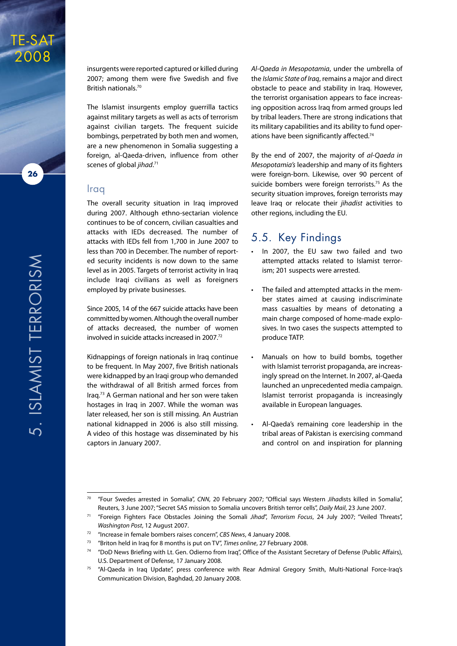

**26**

TE-SAT

insurgents were reported captured or killed during 2007; among them were five Swedish and five British nationals.70

The Islamist insurgents employ guerrilla tactics against military targets as well as acts of terrorism against civilian targets. The frequent suicide bombings, perpetrated by both men and women, are a new phenomenon in Somalia suggesting a foreign, al-Qaeda-driven, influence from other scenes of global *jihad*. 71

#### Iraq

The overall security situation in Iraq improved during 2007. Although ethno-sectarian violence continues to be of concern, civilian casualties and attacks with IEDs decreased. The number of attacks with IEDs fell from 1,700 in June 2007 to less than 700 in December. The number of reported security incidents is now down to the same level as in 2005. Targets of terrorist activity in Iraq include Iraqi civilians as well as foreigners employed by private businesses.

Since 2005, 14 of the 667 suicide attacks have been committed by women. Although the overall number of attacks decreased, the number of women involved in suicide attacks increased in 2007.72

Kidnappings of foreign nationals in Iraq continue to be frequent. In May 2007, five British nationals were kidnapped by an Iraqi group who demanded the withdrawal of all British armed forces from Iraq.73 A German national and her son were taken hostages in Iraq in 2007. While the woman was later released, her son is still missing. An Austrian national kidnapped in 2006 is also still missing. A video of this hostage was disseminated by his captors in January 2007.

*Al-Qaeda in Mesopotamia*, under the umbrella of the *Islamic State of Iraq*, remains a major and direct obstacle to peace and stability in Iraq. However, the terrorist organisation appears to face increasing opposition across Iraq from armed groups led by tribal leaders. There are strong indications that its military capabilities and its ability to fund operations have been significantly affected.<sup>74</sup>

By the end of 2007, the majority of *al-Qaeda in Mesopotamia's* leadership and many of its fighters were foreign-born. Likewise, over 90 percent of suicide bombers were foreign terrorists.<sup>75</sup> As the security situation improves, foreign terrorists may leave Iraq or relocate their *jihadist* activities to other regions, including the EU.

#### 5.5. Key Findings

- • In 2007, the EU saw two failed and two attempted attacks related to Islamist terrorism; 201 suspects were arrested.
- • The failed and attempted attacks in the member states aimed at causing indiscriminate mass casualties by means of detonating a main charge composed of home-made explosives. In two cases the suspects attempted to produce TATP.
- Manuals on how to build bombs, together with Islamist terrorist propaganda, are increasingly spread on the Internet. In 2007, al-Qaeda launched an unprecedented media campaign. Islamist terrorist propaganda is increasingly available in European languages.
- Al-Qaeda's remaining core leadership in the tribal areas of Pakistan is exercising command and control on and inspiration for planning

<sup>70</sup> "Four Swedes arrested in Somalia", *CNN*, 20 February 2007; "Official says Western *Jihad*ists killed in Somalia", Reuters, 3 June 2007; "Secret SAS mission to Somalia uncovers British terror cells", *Daily Mail*, 23 June 2007.

<sup>71</sup> "Foreign Fighters Face Obstacles Joining the Somali *Jihad*", *Terrorism Focus*, 24 July 2007; "Veiled Threats", *Washington Post*, 12 August 2007.

<sup>72</sup> "Increase in female bombers raises concern", *CBS News*, 4 January 2008.

<sup>73</sup> "Briton held in Iraq for 8 months is put on TV", *Times online*, 27 February 2008.

<sup>74</sup> "DoD News Briefing with Lt. Gen. Odierno from Iraq", Office of the Assistant Secretary of Defense (Public Affairs), U.S. Department of Defense, 17 January 2008.

<sup>75</sup> "Al-Qaeda in Iraq Update", press conference with Rear Admiral Gregory Smith, Multi-National Force-Iraq's Communication Division, Baghdad, 20 January 2008.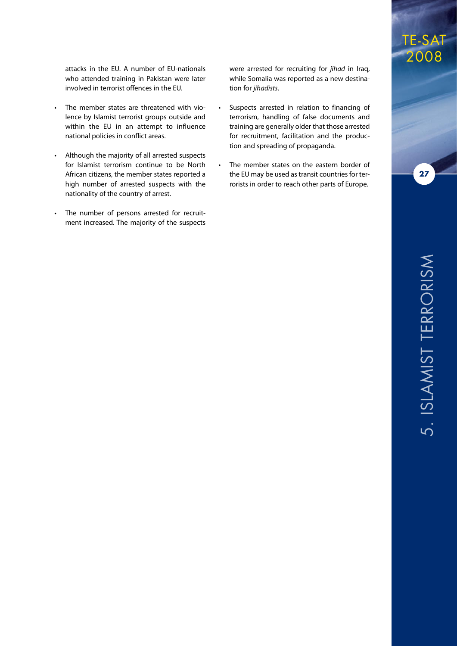attacks in the EU. A number of EU-nationals who attended training in Pakistan were later involved in terrorist offences in the EU.

- The member states are threatened with violence by Islamist terrorist groups outside and within the EU in an attempt to influence national policies in conflict areas.
- Although the majority of all arrested suspects for Islamist terrorism continue to be North African citizens, the member states reported a high number of arrested suspects with the nationality of the country of arrest.
- • The number of persons arrested for recruitment increased. The majority of the suspects

were arrested for recruiting for *jihad* in Iraq, while Somalia was reported as a new destination for *jihadists*.

- Suspects arrested in relation to financing of terrorism, handling of false documents and training are generally older that those arrested for recruitment, facilitation and the production and spreading of propaganda.
- The member states on the eastern border of the EU may be used as transit countries for terrorists in order to reach other parts of Europe.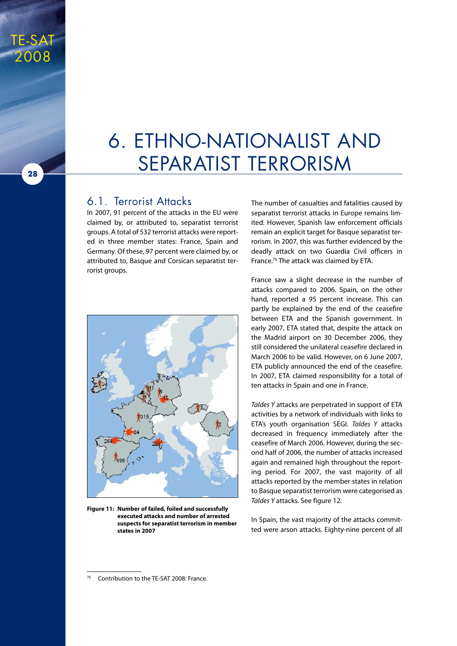## 6. Ethno-Nationalist and Separatist Terrorism

#### 6.1. Terrorist Attacks

TE-SAT

2008

**28**

In 2007, 91 percent of the attacks in the EU were claimed by, or attributed to, separatist terrorist groups. A total of 532 terrorist attacks were reported in three member states: France, Spain and Germany. Of these, 97 percent were claimed by, or attributed to, Basque and Corsican separatist terrorist groups.



**Figure 11: Number of failed, foiled and successfully executed attacks and number of arrested suspects for separatist terrorism in member states in 2007**

The number of casualties and fatalities caused by separatist terrorist attacks in Europe remains limited. However, Spanish law enforcement officials remain an explicit target for Basque separatist terrorism. In 2007, this was further evidenced by the deadly attack on two Guardia Civil officers in France.76 The attack was claimed by ETA.

France saw a slight decrease in the number of attacks compared to 2006. Spain, on the other hand, reported a 95 percent increase. This can partly be explained by the end of the ceasefire between ETA and the Spanish government. In early 2007, ETA stated that, despite the attack on the Madrid airport on 30 December 2006, they still considered the unilateral ceasefire declared in March 2006 to be valid. However, on 6 June 2007, ETA publicly announced the end of the ceasefire. In 2007, ETA claimed responsibility for a total of ten attacks in Spain and one in France.

*Taldes Y* attacks are perpetrated in support of ETA activities by a network of individuals with links to ETA's youth organisation SEGI. *Taldes Y* attacks decreased in frequency immediately after the ceasefire of March 2006. However, during the second half of 2006, the number of attacks increased again and remained high throughout the reporting period. For 2007, the vast majority of all attacks reported by the member states in relation to Basque separatist terrorism were categorised as *Taldes Y* attacks. See figure 12.

In Spain, the vast majority of the attacks committed were arson attacks. Eighty-nine percent of all

Contribution to the TE-SAT 2008: France.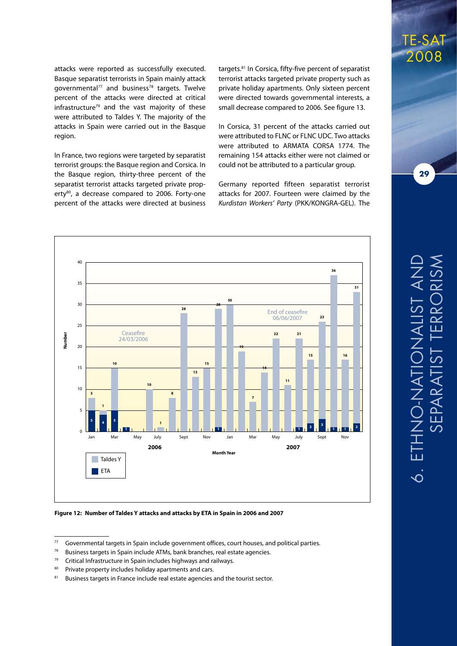attacks were reported as successfully executed. Basque separatist terrorists in Spain mainly attack governmental<sup>77</sup> and business<sup>78</sup> targets. Twelve percent of the attacks were directed at critical infrastructure<sup>79</sup> and the vast majority of these were attributed to Taldes Y. The majority of the attacks in Spain were carried out in the Basque region.

In France, two regions were targeted by separatist terrorist groups: the Basque region and Corsica. In the Basque region, thirty-three percent of the separatist terrorist attacks targeted private property<sup>80</sup>, a decrease compared to 2006. Forty-one percent of the attacks were directed at business

targets.81 In Corsica, fifty-five percent of separatist terrorist attacks targeted private property such as private holiday apartments. Only sixteen percent were directed towards governmental interests, a small decrease compared to 2006. See figure 13.

In Corsica, 31 percent of the attacks carried out were attributed to FLNC or FLNC UDC. Two attacks were attributed to ARMATA CORSA 1774. The remaining 154 attacks either were not claimed or could not be attributed to a particular group.

Germany reported fifteen separatist terrorist attacks for 2007. Fourteen were claimed by the *Kurdistan Workers' Party* (PKK/KONGRA-GEL). The



TE-SAT 2008

 $77$  Governmental targets in Spain include government offices, court houses, and political parties.

 $78$  Business targets in Spain include ATMs, bank branches, real estate agencies.

 $79$  Critical Infrastructure in Spain includes highways and railways.

<sup>80</sup> Private property includes holiday apartments and cars.

<sup>81</sup> Business targets in France include real estate agencies and the tourist sector.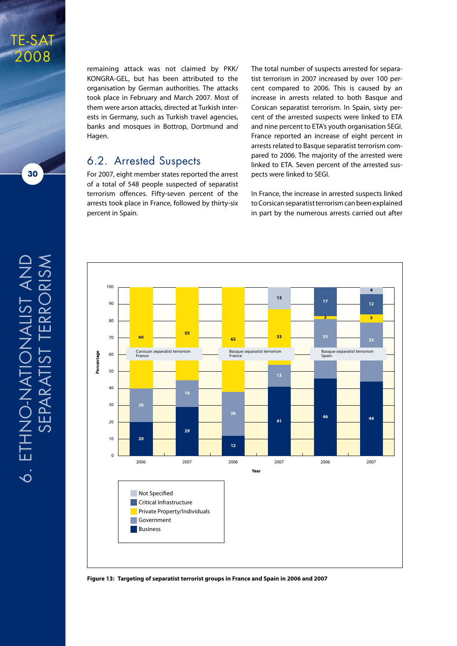

remaining attack was not claimed by PKK/ KONGRA-GEL, but has been attributed to the organisation by German authorities. The attacks took place in February and March 2007. Most of them were arson attacks, directed at Turkish interests in Germany, such as Turkish travel agencies, banks and mosques in Bottrop, Dortmund and Hagen.

#### 6.2. Arrested Suspects

For 2007, eight member states reported the arrest of a total of 548 people suspected of separatist terrorism offences. Fifty-seven percent of the arrests took place in France, followed by thirty-six percent in Spain.

The total number of suspects arrested for separatist terrorism in 2007 increased by over 100 percent compared to 2006. This is caused by an increase in arrests related to both Basque and Corsican separatist terrorism. In Spain, sixty percent of the arrested suspects were linked to ETA and nine percent to ETA's youth organisation SEGI. France reported an increase of eight percent in arrests related to Basque separatist terrorism compared to 2006. The majority of the arrested were linked to ETA. Seven percent of the arrested suspects were linked to SEGI.

In France, the increase in arrested suspects linked to Corsican separatist terrorism can been explained in part by the numerous arrests carried out after



**Figure 13: Targeting of separatist terrorist groups in France and Spain in 2006 and 2007**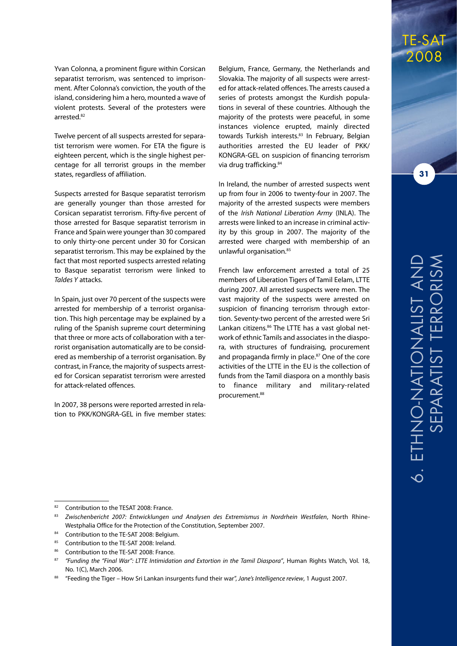Yvan Colonna, a prominent figure within Corsican separatist terrorism, was sentenced to imprisonment. After Colonna's conviction, the youth of the island, considering him a hero, mounted a wave of violent protests. Several of the protesters were arrested.82

Twelve percent of all suspects arrested for separatist terrorism were women. For ETA the figure is eighteen percent, which is the single highest percentage for all terrorist groups in the member states, regardless of affiliation.

Suspects arrested for Basque separatist terrorism are generally younger than those arrested for Corsican separatist terrorism. Fifty-five percent of those arrested for Basque separatist terrorism in France and Spain were younger than 30 compared to only thirty-one percent under 30 for Corsican separatist terrorism. This may be explained by the fact that most reported suspects arrested relating to Basque separatist terrorism were linked to *Taldes Y* attacks.

In Spain, just over 70 percent of the suspects were arrested for membership of a terrorist organisation. This high percentage may be explained by a ruling of the Spanish supreme court determining that three or more acts of collaboration with a terrorist organisation automatically are to be considered as membership of a terrorist organisation. By contrast, in France, the majority of suspects arrested for Corsican separatist terrorism were arrested for attack-related offences.

In 2007, 38 persons were reported arrested in relation to PKK/KONGRA-GEL in five member states:

Belgium, France, Germany, the Netherlands and Slovakia. The majority of all suspects were arrested for attack-related offences. The arrests caused a series of protests amongst the Kurdish populations in several of these countries. Although the majority of the protests were peaceful, in some instances violence erupted, mainly directed towards Turkish interests.<sup>83</sup> In February, Belgian authorities arrested the EU leader of PKK/ KONGRA-GEL on suspicion of financing terrorism via drug trafficking.<sup>84</sup>

In Ireland, the number of arrested suspects went up from four in 2006 to twenty-four in 2007. The majority of the arrested suspects were members of the *Irish National Liberation Army* (INLA). The arrests were linked to an increase in criminal activity by this group in 2007. The majority of the arrested were charged with membership of an unlawful organisation.85

French law enforcement arrested a total of 25 members of Liberation Tigers of Tamil Eelam, LTTE during 2007. All arrested suspects were men. The vast majority of the suspects were arrested on suspicion of financing terrorism through extortion. Seventy-two percent of the arrested were Sri Lankan citizens.<sup>86</sup> The LTTE has a vast global network of ethnic Tamils and associates in the diaspora, with structures of fundraising, procurement and propaganda firmly in place.<sup>87</sup> One of the core activities of the LTTE in the EU is the collection of funds from the Tamil diaspora on a monthly basis to finance military and military-related procurement.88

TE-SAT

2008

<sup>82</sup> Contribution to the TESAT 2008: France.

<sup>83</sup> *Zwischenbericht 2007: Entwicklungen und Analysen des Extremismus in Nordrhein Westfalen, North Rhine-*Westphalia Office for the Protection of the Constitution, September 2007.

<sup>84</sup> Contribution to the TE-SAT 2008: Belgium.

<sup>85</sup> Contribution to the TE-SAT 2008: Ireland.

Contribution to the TE-SAT 2008: France.

<sup>87</sup> *"Funding the "Final War": LTTE Intimidation and Extortion in the Tamil Diaspora"*, Human Rights Watch, Vol. 18, No. 1(C), March 2006.

<sup>88</sup> "Feeding the Tiger – How Sri Lankan insurgents fund their war", *Jane's Intelligence review*, 1 August 2007.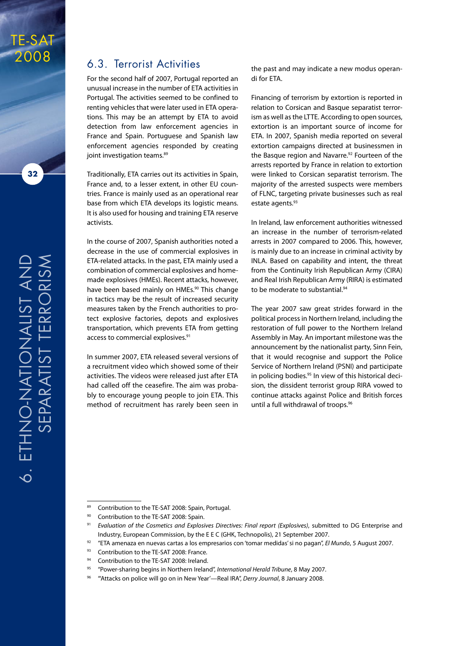

**32**

#### 6.3. Terrorist Activities

For the second half of 2007, Portugal reported an unusual increase in the number of ETA activities in Portugal. The activities seemed to be confined to renting vehicles that were later used in ETA operations. This may be an attempt by ETA to avoid detection from law enforcement agencies in France and Spain. Portuguese and Spanish law enforcement agencies responded by creating joint investigation teams.<sup>89</sup>

Traditionally, ETA carries out its activities in Spain, France and, to a lesser extent, in other EU countries. France is mainly used as an operational rear base from which ETA develops its logistic means. It is also used for housing and training ETA reserve activists.

In the course of 2007, Spanish authorities noted a decrease in the use of commercial explosives in ETA-related attacks. In the past, ETA mainly used a combination of commercial explosives and homemade explosives (HMEs). Recent attacks, however, have been based mainly on HMEs.<sup>90</sup> This change in tactics may be the result of increased security measures taken by the French authorities to protect explosive factories, depots and explosives transportation, which prevents ETA from getting access to commercial explosives.<sup>91</sup>

In summer 2007, ETA released several versions of a recruitment video which showed some of their activities. The videos were released just after ETA had called off the ceasefire. The aim was probably to encourage young people to join ETA. This method of recruitment has rarely been seen in the past and may indicate a new modus operandi for ETA.

Financing of terrorism by extortion is reported in relation to Corsican and Basque separatist terrorism as well as the LTTE. According to open sources, extortion is an important source of income for ETA. In 2007, Spanish media reported on several extortion campaigns directed at businessmen in the Basque region and Navarre.<sup>92</sup> Fourteen of the arrests reported by France in relation to extortion were linked to Corsican separatist terrorism. The majority of the arrested suspects were members of FLNC, targeting private businesses such as real estate agents.<sup>93</sup>

In Ireland, law enforcement authorities witnessed an increase in the number of terrorism-related arrests in 2007 compared to 2006. This, however, is mainly due to an increase in criminal activity by INLA. Based on capability and intent, the threat from the Continuity Irish Republican Army (CIRA) and Real Irish Republican Army (RIRA) is estimated to be moderate to substantial.<sup>94</sup>

The year 2007 saw great strides forward in the political process in Northern Ireland, including the restoration of full power to the Northern Ireland Assembly in May. An important milestone was the announcement by the nationalist party, Sinn Fein, that it would recognise and support the Police Service of Northern Ireland (PSNI) and participate in policing bodies.<sup>95</sup> In view of this historical decision, the dissident terrorist group RIRA vowed to continue attacks against Police and British forces until a full withdrawal of troops.<sup>96</sup>

<sup>89</sup> Contribution to the TE-SAT 2008: Spain, Portugal.

<sup>90</sup> Contribution to the TE-SAT 2008: Spain.

<sup>91</sup> *Evaluation of the Cosmetics and Explosives Directives: Final report (Explosives)*, submitted to DG Enterprise and Industry, European Commission, by the E E C (GHK, Technopolis), 21 September 2007.

<sup>92</sup> "ETA amenaza en nuevas cartas a los empresarios con 'tomar medidas' si no pagan", *El Mundo*, 5 August 2007.

<sup>93</sup> Contribution to the TE-SAT 2008: France.

Contribution to the TE-SAT 2008: Ireland.

<sup>95</sup> "Power-sharing begins in Northern Ireland", *International Herald Tribune*, 8 May 2007.

<sup>96</sup> "'Attacks on police will go on in New Year'—Real IRA", *Derry Journal*, 8 January 2008.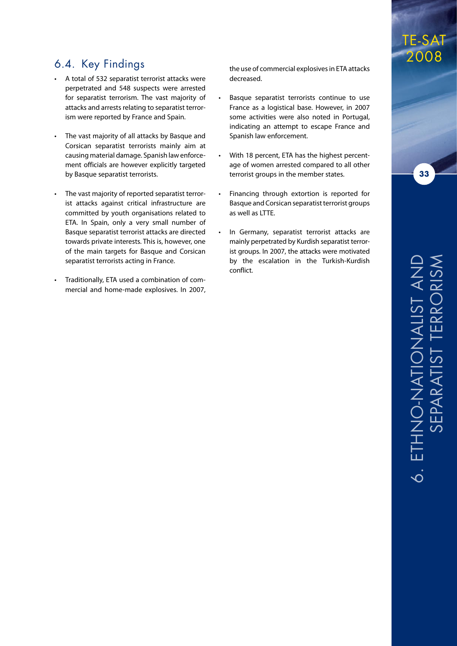#### 6.4. Key Findings

- • A total of 532 separatist terrorist attacks were perpetrated and 548 suspects were arrested for separatist terrorism. The vast majority of attacks and arrests relating to separatist terrorism were reported by France and Spain.
- The vast majority of all attacks by Basque and Corsican separatist terrorists mainly aim at causing material damage. Spanish law enforcement officials are however explicitly targeted by Basque separatist terrorists.
- The vast majority of reported separatist terrorist attacks against critical infrastructure are committed by youth organisations related to ETA. In Spain, only a very small number of Basque separatist terrorist attacks are directed towards private interests. This is, however, one of the main targets for Basque and Corsican separatist terrorists acting in France.
- Traditionally, ETA used a combination of commercial and home-made explosives. In 2007,

the use of commercial explosives in ETA attacks decreased.

- Basque separatist terrorists continue to use France as a logistical base. However, in 2007 some activities were also noted in Portugal, indicating an attempt to escape France and Spanish law enforcement.
- With 18 percent, ETA has the highest percentage of women arrested compared to all other terrorist groups in the member states.
- Financing through extortion is reported for Basque and Corsican separatist terrorist groups as well as LTTE.
- In Germany, separatist terrorist attacks are mainly perpetrated by Kurdish separatist terrorist groups. In 2007, the attacks were motivated by the escalation in the Turkish-Kurdish conflict.

TE-SAT

2008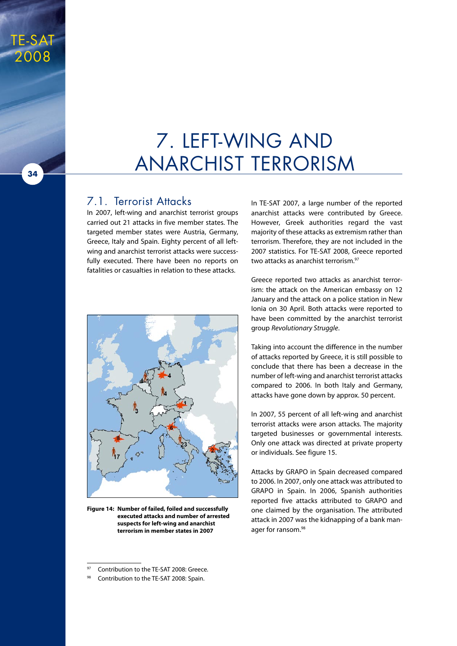### 7. Left-Wing and Anarchist Terrorism

#### 7.1. Terrorist Attacks

TE-SAT

2008

**34**

In 2007, left-wing and anarchist terrorist groups carried out 21 attacks in five member states. The targeted member states were Austria, Germany, Greece, Italy and Spain. Eighty percent of all leftwing and anarchist terrorist attacks were successfully executed. There have been no reports on fatalities or casualties in relation to these attacks.



**Figure 14: Number of failed, foiled and successfully executed attacks and number of arrested suspects for left-wing and anarchist terrorism in member states in 2007**

In TE-SAT 2007, a large number of the reported anarchist attacks were contributed by Greece. However, Greek authorities regard the vast majority of these attacks as extremism rather than terrorism. Therefore, they are not included in the 2007 statistics. For TE-SAT 2008, Greece reported two attacks as anarchist terrorism.<sup>97</sup>

Greece reported two attacks as anarchist terrorism: the attack on the American embassy on 12 January and the attack on a police station in New Ionia on 30 April. Both attacks were reported to have been committed by the anarchist terrorist group *Revolutionary Struggle*.

Taking into account the difference in the number of attacks reported by Greece, it is still possible to conclude that there has been a decrease in the number of left-wing and anarchist terrorist attacks compared to 2006. In both Italy and Germany, attacks have gone down by approx. 50 percent.

In 2007, 55 percent of all left-wing and anarchist terrorist attacks were arson attacks. The majority targeted businesses or governmental interests. Only one attack was directed at private property or individuals. See figure 15.

Attacks by GRAPO in Spain decreased compared to 2006. In 2007, only one attack was attributed to GRAPO in Spain. In 2006, Spanish authorities reported five attacks attributed to GRAPO and one claimed by the organisation. The attributed attack in 2007 was the kidnapping of a bank manager for ransom.<sup>98</sup>

Contribution to the TE-SAT 2008: Greece.

<sup>98</sup> Contribution to the TE-SAT 2008: Spain.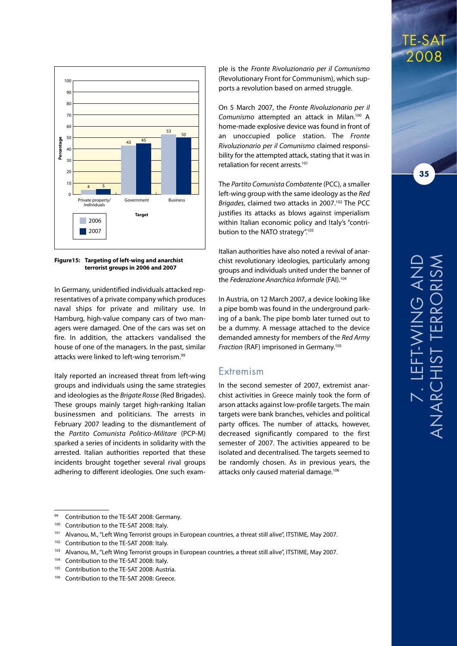

**Figure15: Targeting of left-wing and anarchist terrorist groups in 2006 and 2007**

In Germany, unidentified individuals attacked representatives of a private company which produces naval ships for private and military use. In Hamburg, high-value company cars of two managers were damaged. One of the cars was set on fire. In addition, the attackers vandalised the house of one of the managers. In the past, similar attacks were linked to left-wing terrorism.<sup>99</sup>

Italy reported an increased threat from left-wing groups and individuals using the same strategies and ideologies as the *Brigate Rosse* (Red Brigades). These groups mainly target high-ranking Italian businessmen and politicians. The arrests in February 2007 leading to the dismantlement of the *Partito Comunista Politico-Militare* (PCP-M) sparked a series of incidents in solidarity with the arrested. Italian authorities reported that these incidents brought together several rival groups adhering to different ideologies. One such example is the *Fronte Rivoluzionario per il Comunismo* (Revolutionary Front for Communism), which supports a revolution based on armed struggle.

On 5 March 2007, the *Fronte Rivoluzionario per il Comunismo* attempted an attack in Milan.100 A home-made explosive device was found in front of an unoccupied police station. The *Fronte Rivoluzionario per il Comunismo* claimed responsibility for the attempted attack, stating that it was in retaliation for recent arrests.101

The *Partito Comunista Combatente* (PCC), a smaller left-wing group with the same ideology as the *Red Brigades*, claimed two attacks in 2007.102 The PCC justifies its attacks as blows against imperialism within Italian economic policy and Italy's "contribution to the NATO strategy".<sup>103</sup>

Italian authorities have also noted a revival of anarchist revolutionary ideologies, particularly among groups and individuals united under the banner of the *Federazione Anarchica Informale* (FAI).104

In Austria, on 12 March 2007, a device looking like a pipe bomb was found in the underground parking of a bank. The pipe bomb later turned out to be a dummy. A message attached to the device demanded amnesty for members of the *Red Army Fraction* (RAF) imprisoned in Germany.<sup>105</sup>

#### Extremism

In the second semester of 2007, extremist anarchist activities in Greece mainly took the form of arson attacks against low-profile targets. The main targets were bank branches, vehicles and political party offices. The number of attacks, however, decreased significantly compared to the first semester of 2007. The activities appeared to be isolated and decentralised. The targets seemed to be randomly chosen. As in previous years, the attacks only caused material damage.<sup>106</sup>

TE-SAT 2008

<sup>99</sup> Contribution to the TE-SAT 2008: Germany.

<sup>&</sup>lt;sup>100</sup> Contribution to the TE-SAT 2008: Italy.

<sup>&</sup>lt;sup>101</sup> Alvanou, M., "Left Wing Terrorist groups in European countries, a threat still alive", ITSTIME, May 2007.

<sup>&</sup>lt;sup>102</sup> Contribution to the TE-SAT 2008: Italy.

<sup>103</sup> Alvanou, M., "Left Wing Terrorist groups in European countries, a threat still alive", ITSTIME, May 2007.

<sup>&</sup>lt;sup>104</sup> Contribution to the TE-SAT 2008: Italy.

<sup>&</sup>lt;sup>105</sup> Contribution to the TE-SAT 2008: Austria.

<sup>106</sup> Contribution to the TE-SAT 2008: Greece.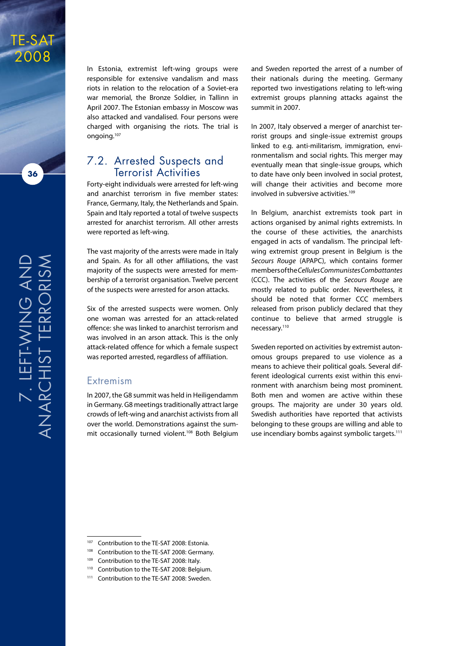

TE-SAT 2008

> In Estonia, extremist left-wing groups were responsible for extensive vandalism and mass riots in relation to the relocation of a Soviet-era war memorial, the Bronze Soldier, in Tallinn in April 2007. The Estonian embassy in Moscow was also attacked and vandalised. Four persons were charged with organising the riots. The trial is ongoing.107

#### 7.2. Arrested Suspects and Terrorist Activities

Forty-eight individuals were arrested for left-wing and anarchist terrorism in five member states: France, Germany, Italy, the Netherlands and Spain. Spain and Italy reported a total of twelve suspects arrested for anarchist terrorism. All other arrests were reported as left-wing.

The vast majority of the arrests were made in Italy and Spain. As for all other affiliations, the vast majority of the suspects were arrested for membership of a terrorist organisation. Twelve percent of the suspects were arrested for arson attacks.

Six of the arrested suspects were women. Only one woman was arrested for an attack-related offence: she was linked to anarchist terrorism and was involved in an arson attack. This is the only attack-related offence for which a female suspect was reported arrested, regardless of affiliation.

#### Extremism

In 2007, the G8 summit was held in Heiligendamm in Germany. G8 meetings traditionally attract large crowds of left-wing and anarchist activists from all over the world. Demonstrations against the summit occasionally turned violent.<sup>108</sup> Both Belgium

and Sweden reported the arrest of a number of their nationals during the meeting. Germany reported two investigations relating to left-wing extremist groups planning attacks against the summit in 2007.

In 2007, Italy observed a merger of anarchist terrorist groups and single-issue extremist groups linked to e.g. anti-militarism, immigration, environmentalism and social rights. This merger may eventually mean that single-issue groups, which to date have only been involved in social protest, will change their activities and become more involved in subversive activities.<sup>109</sup>

In Belgium, anarchist extremists took part in actions organised by animal rights extremists. In the course of these activities, the anarchists engaged in acts of vandalism. The principal leftwing extremist group present in Belgium is the *Secours Rouge* (APAPC), which contains former members of the *Cellules Communistes Combattantes* (CCC). The activities of the *Secours Rouge* are mostly related to public order. Nevertheless, it should be noted that former CCC members released from prison publicly declared that they continue to believe that armed struggle is necessary.110

Sweden reported on activities by extremist autonomous groups prepared to use violence as a means to achieve their political goals. Several different ideological currents exist within this environment with anarchism being most prominent. Both men and women are active within these groups. The majority are under 30 years old. Swedish authorities have reported that activists belonging to these groups are willing and able to use incendiary bombs against symbolic targets.<sup>111</sup>

<sup>&</sup>lt;sup>107</sup> Contribution to the TE-SAT 2008: Estonia.

<sup>108</sup> Contribution to the TE-SAT 2008: Germany.

Contribution to the TE-SAT 2008: Italy.

<sup>110</sup> Contribution to the TE-SAT 2008: Belgium.

<sup>111</sup> Contribution to the TE-SAT 2008: Sweden.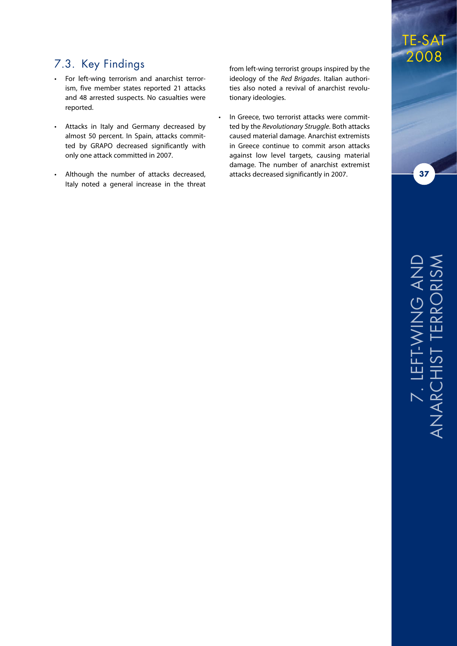#### 7.3. Key Findings

- For left-wing terrorism and anarchist terrorism, five member states reported 21 attacks and 48 arrested suspects. No casualties were reported.
- • Attacks in Italy and Germany decreased by almost 50 percent. In Spain, attacks committed by GRAPO decreased significantly with only one attack committed in 2007.
- Although the number of attacks decreased, Italy noted a general increase in the threat

from left-wing terrorist groups inspired by the ideology of the *Red Brigades*. Italian authorities also noted a revival of anarchist revolutionary ideologies.

In Greece, two terrorist attacks were committed by the *Revolutionary Struggle*. Both attacks caused material damage. Anarchist extremists in Greece continue to commit arson attacks against low level targets, causing material damage. The number of anarchist extremist attacks decreased significantly in 2007.

### TE-SAT 2008

**37**

# 7. Le ட D<br>November<br>2012<br>November Anarc hist Terrorism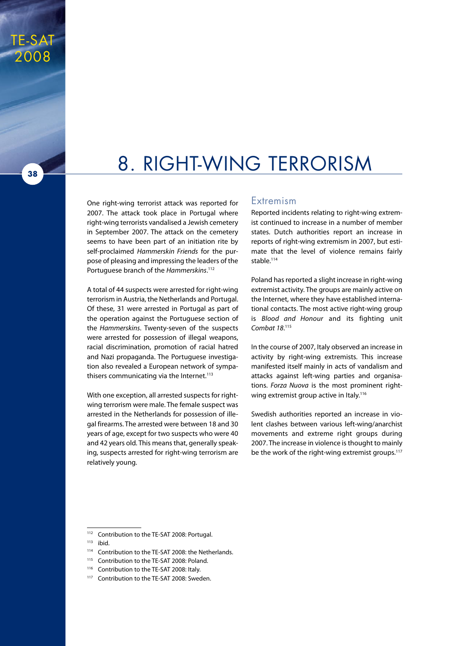### 8. Right-Wing Terrorism

One right-wing terrorist attack was reported for 2007. The attack took place in Portugal where right-wing terrorists vandalised a Jewish cemetery in September 2007. The attack on the cemetery seems to have been part of an initiation rite by self-proclaimed *Hammerskin Friends* for the purpose of pleasing and impressing the leaders of the Portuguese branch of the *Hammerskins*. 112

A total of 44 suspects were arrested for right-wing terrorism in Austria, the Netherlands and Portugal. Of these, 31 were arrested in Portugal as part of the operation against the Portuguese section of the *Hammerskins*. Twenty-seven of the suspects were arrested for possession of illegal weapons, racial discrimination, promotion of racial hatred and Nazi propaganda. The Portuguese investigation also revealed a European network of sympathisers communicating via the Internet.<sup>113</sup>

With one exception, all arrested suspects for rightwing terrorism were male. The female suspect was arrested in the Netherlands for possession of illegal firearms. The arrested were between 18 and 30 years of age, except for two suspects who were 40 and 42 years old. This means that, generally speaking, suspects arrested for right-wing terrorism are relatively young.

#### Extremism

Reported incidents relating to right-wing extremist continued to increase in a number of member states. Dutch authorities report an increase in reports of right-wing extremism in 2007, but estimate that the level of violence remains fairly stable.<sup>114</sup>

Poland has reported a slight increase in right-wing extremist activity. The groups are mainly active on the Internet, where they have established international contacts. The most active right-wing group is *Blood and Honour* and its fighting unit Combat 18.<sup>115</sup>

In the course of 2007, Italy observed an increase in activity by right-wing extremists. This increase manifested itself mainly in acts of vandalism and attacks against left-wing parties and organisations. *Forza Nuova* is the most prominent rightwing extremist group active in Italy.<sup>116</sup>

Swedish authorities reported an increase in violent clashes between various left-wing/anarchist movements and extreme right groups during 2007. The increase in violence is thought to mainly be the work of the right-wing extremist groups.<sup>117</sup>

TE-SAT

2008

<sup>112</sup> Contribution to the TE-SAT 2008: Portugal.

 $113$  ibid.

<sup>114</sup> Contribution to the TE-SAT 2008: the Netherlands.

<sup>&</sup>lt;sup>115</sup> Contribution to the TE-SAT 2008: Poland.

<sup>116</sup> Contribution to the TE-SAT 2008: Italy.

<sup>&</sup>lt;sup>117</sup> Contribution to the TE-SAT 2008: Sweden.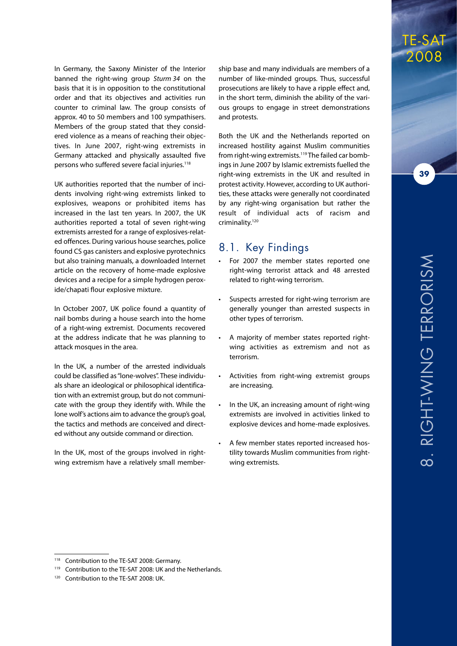In Germany, the Saxony Minister of the Interior banned the right-wing group *Sturm 34* on the basis that it is in opposition to the constitutional order and that its objectives and activities run counter to criminal law. The group consists of approx. 40 to 50 members and 100 sympathisers. Members of the group stated that they considered violence as a means of reaching their objectives. In June 2007, right-wing extremists in Germany attacked and physically assaulted five persons who suffered severe facial injuries.<sup>118</sup>

UK authorities reported that the number of incidents involving right-wing extremists linked to explosives, weapons or prohibited items has increased in the last ten years. In 2007, the UK authorities reported a total of seven right-wing extremists arrested for a range of explosives-related offences. During various house searches, police found CS gas canisters and explosive pyrotechnics but also training manuals, a downloaded Internet article on the recovery of home-made explosive devices and a recipe for a simple hydrogen peroxide/chapati flour explosive mixture.

In October 2007, UK police found a quantity of nail bombs during a house search into the home of a right-wing extremist. Documents recovered at the address indicate that he was planning to attack mosques in the area.

In the UK, a number of the arrested individuals could be classified as "lone-wolves". These individuals share an ideological or philosophical identification with an extremist group, but do not communicate with the group they identify with. While the lone wolf's actions aim to advance the group's goal, the tactics and methods are conceived and directed without any outside command or direction.

In the UK, most of the groups involved in rightwing extremism have a relatively small member-

ship base and many individuals are members of a number of like-minded groups. Thus, successful prosecutions are likely to have a ripple effect and, in the short term, diminish the ability of the various groups to engage in street demonstrations and protests.

Both the UK and the Netherlands reported on increased hostility against Muslim communities from right-wing extremists.<sup>119</sup> The failed car bombings in June 2007 by Islamic extremists fuelled the right-wing extremists in the UK and resulted in protest activity. However, according to UK authorities, these attacks were generally not coordinated by any right-wing organisation but rather the result of individual acts of racism and criminality.120

#### 8.1. Key Findings

- For 2007 the member states reported one right-wing terrorist attack and 48 arrested related to right-wing terrorism.
- Suspects arrested for right-wing terrorism are generally younger than arrested suspects in other types of terrorism.
- A majority of member states reported rightwing activities as extremism and not as terrorism.
- Activities from right-wing extremist groups are increasing.
- In the UK, an increasing amount of right-wing extremists are involved in activities linked to explosive devices and home-made explosives.
- A few member states reported increased hostility towards Muslim communities from rightwing extremists.

TE-SAT 2008

Contribution to the TE-SAT 2008: Germany.

<sup>119</sup> Contribution to the TE-SAT 2008: UK and the Netherlands.

<sup>120</sup> Contribution to the TE-SAT 2008: UK.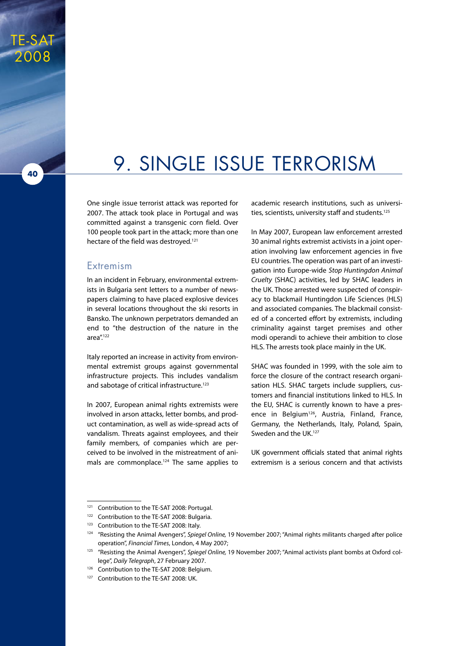# 9. Single Issue Terrorism

One single issue terrorist attack was reported for 2007. The attack took place in Portugal and was committed against a transgenic corn field. Over 100 people took part in the attack; more than one hectare of the field was destroved.<sup>121</sup>

#### Extremism

TE-SAT

2008

**40**

In an incident in February, environmental extremists in Bulgaria sent letters to a number of newspapers claiming to have placed explosive devices in several locations throughout the ski resorts in Bansko. The unknown perpetrators demanded an end to "the destruction of the nature in the area".122

Italy reported an increase in activity from environmental extremist groups against governmental infrastructure projects. This includes vandalism and sabotage of critical infrastructure.<sup>123</sup>

In 2007, European animal rights extremists were involved in arson attacks, letter bombs, and product contamination, as well as wide-spread acts of vandalism. Threats against employees, and their family members, of companies which are perceived to be involved in the mistreatment of animals are commonplace.<sup>124</sup> The same applies to academic research institutions, such as universities, scientists, university staff and students.<sup>125</sup>

In May 2007, European law enforcement arrested 30 animal rights extremist activists in a joint operation involving law enforcement agencies in five EU countries. The operation was part of an investigation into Europe-wide *Stop Huntingdon Animal Cruelty* (SHAC) activities, led by SHAC leaders in the UK. Those arrested were suspected of conspiracy to blackmail Huntingdon Life Sciences (HLS) and associated companies. The blackmail consisted of a concerted effort by extremists, including criminality against target premises and other modi operandi to achieve their ambition to close HLS. The arrests took place mainly in the UK.

SHAC was founded in 1999, with the sole aim to force the closure of the contract research organisation HLS. SHAC targets include suppliers, customers and financial institutions linked to HLS. In the EU, SHAC is currently known to have a presence in Belgium<sup>126</sup>, Austria, Finland, France, Germany, the Netherlands, Italy, Poland, Spain, Sweden and the UK.<sup>127</sup>

UK government officials stated that animal rights extremism is a serious concern and that activists

<sup>&</sup>lt;sup>121</sup> Contribution to the TE-SAT 2008: Portugal.

<sup>122</sup> Contribution to the TE-SAT 2008: Bulgaria.

<sup>&</sup>lt;sup>123</sup> Contribution to the TE-SAT 2008: Italy.

<sup>124</sup> "Resisting the Animal Avengers", *Spiegel Online,* 19 November 2007; "Animal rights militants charged after police operation", *Financial Times*, London, 4 May 2007;

<sup>125</sup> "Resisting the Animal Avengers", *Spiegel Online,* 19 November 2007; "Animal activists plant bombs at Oxford college", *Daily Telegraph*, 27 February 2007.

Contribution to the TE-SAT 2008: Belgium.

<sup>127</sup> Contribution to the TE-SAT 2008: UK.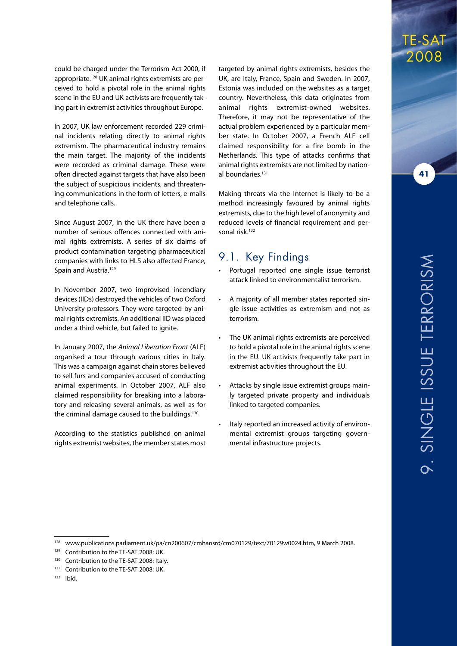could be charged under the Terrorism Act 2000, if appropriate.128 UK animal rights extremists are perceived to hold a pivotal role in the animal rights scene in the EU and UK activists are frequently taking part in extremist activities throughout Europe.

In 2007, UK law enforcement recorded 229 criminal incidents relating directly to animal rights extremism. The pharmaceutical industry remains the main target. The majority of the incidents were recorded as criminal damage. These were often directed against targets that have also been the subject of suspicious incidents, and threatening communications in the form of letters, e-mails and telephone calls.

Since August 2007, in the UK there have been a number of serious offences connected with animal rights extremists. A series of six claims of product contamination targeting pharmaceutical companies with links to HLS also affected France, Spain and Austria.<sup>129</sup>

In November 2007, two improvised incendiary devices (IIDs) destroyed the vehicles of two Oxford University professors. They were targeted by animal rights extremists. An additional IID was placed under a third vehicle, but failed to ignite.

In January 2007, the *Animal Liberation Front* (ALF) organised a tour through various cities in Italy. This was a campaign against chain stores believed to sell furs and companies accused of conducting animal experiments. In October 2007, ALF also claimed responsibility for breaking into a laboratory and releasing several animals, as well as for the criminal damage caused to the buildings.<sup>130</sup>

According to the statistics published on animal rights extremist websites, the member states most

targeted by animal rights extremists, besides the UK, are Italy, France, Spain and Sweden. In 2007, Estonia was included on the websites as a target country. Nevertheless, this data originates from animal rights extremist-owned websites. Therefore, it may not be representative of the actual problem experienced by a particular member state. In October 2007, a French ALF cell claimed responsibility for a fire bomb in the Netherlands. This type of attacks confirms that animal rights extremists are not limited by national boundaries.<sup>131</sup>

Making threats via the Internet is likely to be a method increasingly favoured by animal rights extremists, due to the high level of anonymity and reduced levels of financial requirement and personal risk.132

#### 9.1. Key Findings

- Portugal reported one single issue terrorist attack linked to environmentalist terrorism.
- A majority of all member states reported single issue activities as extremism and not as terrorism.
- The UK animal rights extremists are perceived to hold a pivotal role in the animal rights scene in the EU. UK activists frequently take part in extremist activities throughout the EU.
- Attacks by single issue extremist groups mainly targeted private property and individuals linked to targeted companies.
- Italy reported an increased activity of environmental extremist groups targeting governmental infrastructure projects.

TE-SAT

2008

<sup>129</sup> Contribution to the TE-SAT 2008: UK.

<sup>&</sup>lt;sup>130</sup> Contribution to the TE-SAT 2008: Italy.

<sup>131</sup> Contribution to the TE-SAT 2008: UK.

<sup>132</sup> Ibid.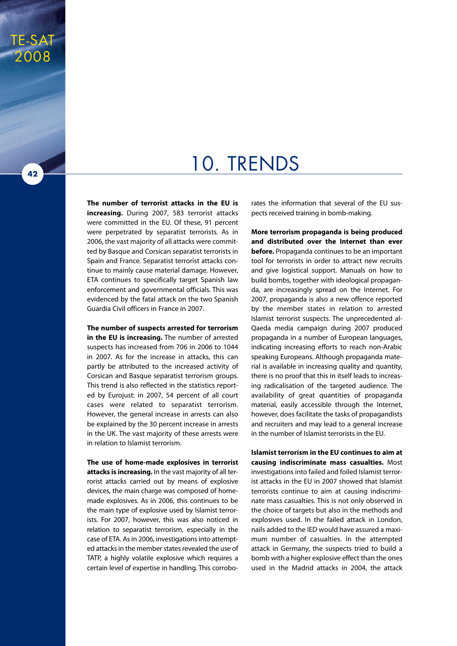### 10. Trends

**The number of terrorist attacks in the EU is increasing.** During 2007, 583 terrorist attacks were committed in the EU. Of these, 91 percent were perpetrated by separatist terrorists. As in 2006, the vast majority of all attacks were committed by Basque and Corsican separatist terrorists in Spain and France. Separatist terrorist attacks continue to mainly cause material damage. However, ETA continues to specifically target Spanish law enforcement and governmental officials. This was evidenced by the fatal attack on the two Spanish Guardia Civil officers in France in 2007.

**The number of suspects arrested for terrorism in the EU is increasing.** The number of arrested suspects has increased from 706 in 2006 to 1044 in 2007. As for the increase in attacks, this can partly be attributed to the increased activity of Corsican and Basque separatist terrorism groups. This trend is also reflected in the statistics reported by Eurojust: in 2007, 54 percent of all court cases were related to separatist terrorism. However, the general increase in arrests can also be explained by the 30 percent increase in arrests in the UK. The vast majority of these arrests were in relation to Islamist terrorism.

**The use of home-made explosives in terrorist attacks is increasing.** In the vast majority of all terrorist attacks carried out by means of explosive devices, the main charge was composed of homemade explosives. As in 2006, this continues to be the main type of explosive used by Islamist terrorists. For 2007, however, this was also noticed in relation to separatist terrorism, especially in the case of ETA. As in 2006, investigations into attempted attacks in the member states revealed the use of TATP, a highly volatile explosive which requires a certain level of expertise in handling. This corroborates the information that several of the EU suspects received training in bomb-making.

**More terrorism propaganda is being produced and distributed over the Internet than ever before.** Propaganda continues to be an important tool for terrorists in order to attract new recruits and give logistical support. Manuals on how to build bombs, together with ideological propaganda, are increasingly spread on the Internet. For 2007, propaganda is also a new offence reported by the member states in relation to arrested Islamist terrorist suspects. The unprecedented al-Qaeda media campaign during 2007 produced propaganda in a number of European languages, indicating increasing efforts to reach non-Arabic speaking Europeans. Although propaganda material is available in increasing quality and quantity, there is no proof that this in itself leads to increasing radicalisation of the targeted audience. The availability of great quantities of propaganda material, easily accessible through the Internet, however, does facilitate the tasks of propagandists and recruiters and may lead to a general increase in the number of Islamist terrorists in the EU.

**Islamist terrorism in the EU continues to aim at causing indiscriminate mass casualties.** Most investigations into failed and foiled Islamist terrorist attacks in the EU in 2007 showed that Islamist terrorists continue to aim at causing indiscriminate mass casualties. This is not only observed in the choice of targets but also in the methods and explosives used. In the failed attack in London, nails added to the IED would have assured a maximum number of casualties. In the attempted attack in Germany, the suspects tried to build a bomb with a higher explosive effect than the ones used in the Madrid attacks in 2004, the attack

**42**

TE-SAT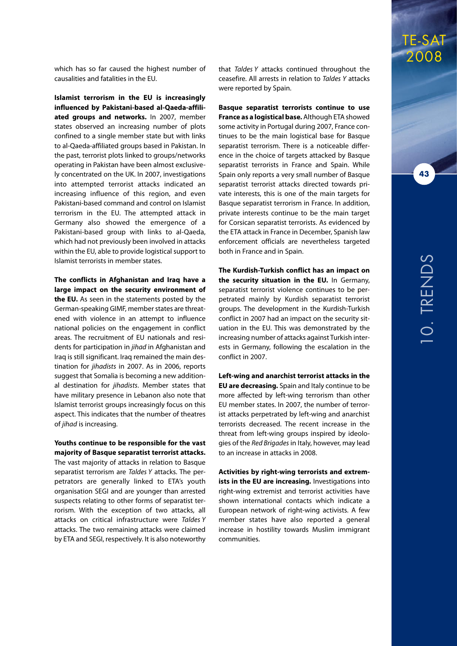which has so far caused the highest number of causalities and fatalities in the EU.

**Islamist terrorism in the EU is increasingly influenced by Pakistani-based al-Qaeda-affiliated groups and networks.** In 2007, member states observed an increasing number of plots confined to a single member state but with links to al-Qaeda-affiliated groups based in Pakistan. In the past, terrorist plots linked to groups/networks operating in Pakistan have been almost exclusively concentrated on the UK. In 2007, investigations into attempted terrorist attacks indicated an increasing influence of this region, and even Pakistani-based command and control on Islamist terrorism in the EU. The attempted attack in Germany also showed the emergence of a Pakistani-based group with links to al-Qaeda, which had not previously been involved in attacks within the EU, able to provide logistical support to Islamist terrorists in member states.

**The conflicts in Afghanistan and Iraq have a large impact on the security environment of the EU.** As seen in the statements posted by the German-speaking GIMF, member states are threatened with violence in an attempt to influence national policies on the engagement in conflict areas. The recruitment of EU nationals and residents for participation in *jihad* in Afghanistan and Iraq is still significant. Iraq remained the main destination for *jihadists* in 2007. As in 2006, reports suggest that Somalia is becoming a new additional destination for *jihadists*. Member states that have military presence in Lebanon also note that Islamist terrorist groups increasingly focus on this aspect. This indicates that the number of theatres of *jihad* is increasing.

#### **Youths continue to be responsible for the vast majority of Basque separatist terrorist attacks.**

The vast majority of attacks in relation to Basque separatist terrorism are *Taldes Y* attacks. The perpetrators are generally linked to ETA's youth organisation SEGI and are younger than arrested suspects relating to other forms of separatist terrorism. With the exception of two attacks, all attacks on critical infrastructure were *Taldes Y* attacks. The two remaining attacks were claimed by ETA and SEGI, respectively. It is also noteworthy

that *Taldes Y* attacks continued throughout the ceasefire. All arrests in relation to *Taldes Y* attacks were reported by Spain.

**Basque separatist terrorists continue to use France as a logistical base.** Although ETA showed some activity in Portugal during 2007, France continues to be the main logistical base for Basque separatist terrorism. There is a noticeable difference in the choice of targets attacked by Basque separatist terrorists in France and Spain. While Spain only reports a very small number of Basque separatist terrorist attacks directed towards private interests, this is one of the main targets for Basque separatist terrorism in France. In addition, private interests continue to be the main target for Corsican separatist terrorists. As evidenced by the ETA attack in France in December, Spanish law enforcement officials are nevertheless targeted both in France and in Spain.

**The Kurdish-Turkish conflict has an impact on the security situation in the EU.** In Germany, separatist terrorist violence continues to be perpetrated mainly by Kurdish separatist terrorist groups. The development in the Kurdish-Turkish conflict in 2007 had an impact on the security situation in the EU. This was demonstrated by the increasing number of attacks against Turkish interests in Germany, following the escalation in the conflict in 2007.

**Left-wing and anarchist terrorist attacks in the EU are decreasing.** Spain and Italy continue to be more affected by left-wing terrorism than other EU member states. In 2007, the number of terrorist attacks perpetrated by left-wing and anarchist terrorists decreased. The recent increase in the threat from left-wing groups inspired by ideologies of the *Red Brigades* in Italy, however, may lead to an increase in attacks in 2008.

**Activities by right-wing terrorists and extremists in the EU are increasing.** Investigations into right-wing extremist and terrorist activities have shown international contacts which indicate a European network of right-wing activists. A few member states have also reported a general increase in hostility towards Muslim immigrant communities.

### TE-SAT 2008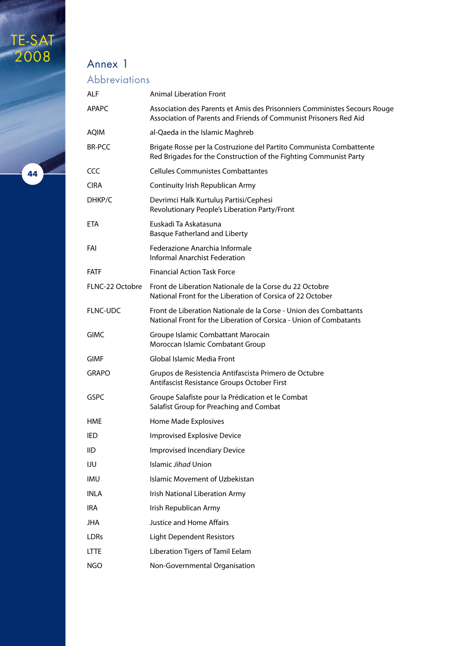### Annex 1

### **Abbreviations**

| <b>ALF</b>      | <b>Animal Liberation Front</b>                                                                                                                 |
|-----------------|------------------------------------------------------------------------------------------------------------------------------------------------|
| <b>APAPC</b>    | Association des Parents et Amis des Prisonniers Comministes Secours Rouge<br>Association of Parents and Friends of Communist Prisoners Red Aid |
| <b>AOIM</b>     | al-Qaeda in the Islamic Maghreb                                                                                                                |
| <b>BR-PCC</b>   | Brigate Rosse per la Costruzione del Partito Communista Combattente<br>Red Brigades for the Construction of the Fighting Communist Party       |
| CCC             | <b>Cellules Communistes Combattantes</b>                                                                                                       |
| <b>CIRA</b>     | Continuity Irish Republican Army                                                                                                               |
| DHKP/C          | Devrimci Halk Kurtuluş Partisi/Cephesi<br>Revolutionary People's Liberation Party/Front                                                        |
| ETA             | Euskadi Ta Askatasuna<br><b>Basque Fatherland and Liberty</b>                                                                                  |
| FAI             | Federazione Anarchia Informale<br><b>Informal Anarchist Federation</b>                                                                         |
| <b>FATF</b>     | <b>Financial Action Task Force</b>                                                                                                             |
| FLNC-22 Octobre | Front de Liberation Nationale de la Corse du 22 Octobre<br>National Front for the Liberation of Corsica of 22 October                          |
| FLNC-UDC        | Front de Liberation Nationale de la Corse - Union des Combattants<br>National Front for the Liberation of Corsica - Union of Combatants        |
| <b>GIMC</b>     | Groupe Islamic Combattant Marocain<br>Moroccan Islamic Combatant Group                                                                         |
| <b>GIMF</b>     | Global Islamic Media Front                                                                                                                     |
| <b>GRAPO</b>    | Grupos de Resistencia Antifascista Primero de Octubre<br>Antifascist Resistance Groups October First                                           |
| <b>GSPC</b>     | Groupe Salafiste pour la Prédication et le Combat<br>Salafist Group for Preaching and Combat                                                   |
| HME             | Home Made Explosives                                                                                                                           |
| IED             | <b>Improvised Explosive Device</b>                                                                                                             |
| <b>IID</b>      | <b>Improvised Incendiary Device</b>                                                                                                            |
| IJU             | Islamic Jihad Union                                                                                                                            |
| <b>IMU</b>      | Islamic Movement of Uzbekistan                                                                                                                 |
| <b>INLA</b>     | Irish National Liberation Army                                                                                                                 |
| <b>IRA</b>      | Irish Republican Army                                                                                                                          |
| JHA             | <b>Justice and Home Affairs</b>                                                                                                                |
| <b>LDRs</b>     | Light Dependent Resistors                                                                                                                      |
| <b>LTTE</b>     | Liberation Tigers of Tamil Eelam                                                                                                               |
| <b>NGO</b>      | Non-Governmental Organisation                                                                                                                  |

**44**

TE-SAT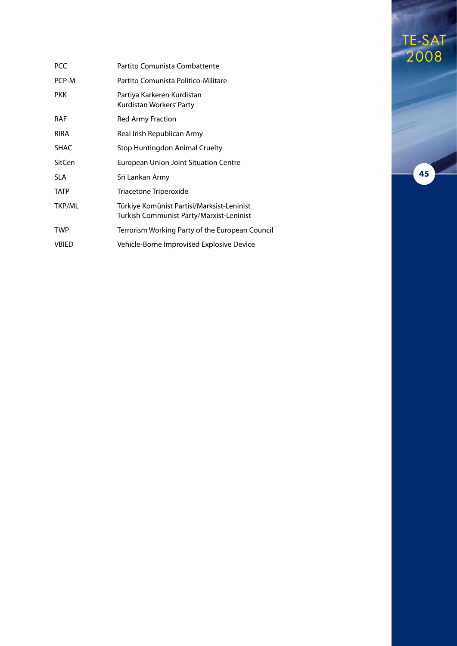| <b>PCC</b>    | Partito Comunista Combattente                                                          |
|---------------|----------------------------------------------------------------------------------------|
| PCP-M         | Partito Comunista Politico-Militare                                                    |
| <b>PKK</b>    | Partiya Karkeren Kurdistan<br>Kurdistan Workers' Party                                 |
| <b>RAF</b>    | Red Army Fraction                                                                      |
| <b>RIRA</b>   | Real Irish Republican Army                                                             |
| <b>SHAC</b>   | Stop Huntingdon Animal Cruelty                                                         |
| SitCen        | <b>European Union Joint Situation Centre</b>                                           |
| <b>SLA</b>    | Sri Lankan Army                                                                        |
| <b>TATP</b>   | Triacetone Triperoxide                                                                 |
| <b>TKP/ML</b> | Türkiye Komünist Partisi/Marksist-Leninist<br>Turkish Communist Party/Marxist-Leninist |
| <b>TWP</b>    | Terrorism Working Party of the European Council                                        |
| <b>VBIED</b>  | Vehicle-Borne Improvised Explosive Device                                              |

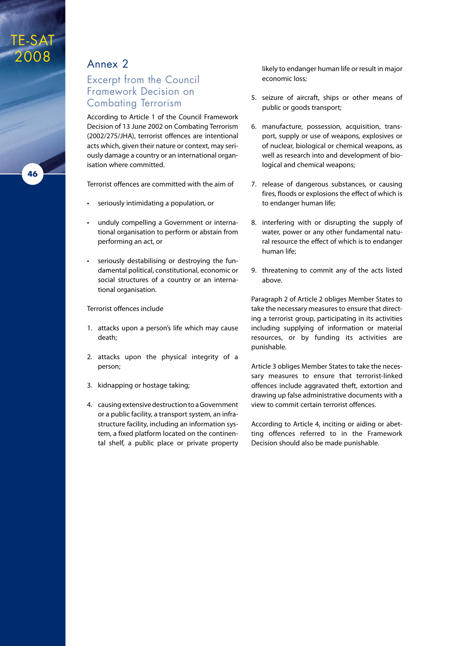### TE-SAT 2008

### Annex 2

#### Excerpt from the Council Framework Decision on Combating Terrorism

According to Article 1 of the Council Framework Decision of 13 June 2002 on Combating Terrorism (2002/275/JHA), terrorist offences are intentional acts which, given their nature or context, may seriously damage a country or an international organisation where committed.

Terrorist offences are committed with the aim of

- seriously intimidating a population, or
- unduly compelling a Government or international organisation to perform or abstain from performing an act, or
- • seriously destabilising or destroying the fundamental political, constitutional, economic or social structures of a country or an international organisation.

#### Terrorist offences include

- 1. attacks upon a person's life which may cause death;
- 2. attacks upon the physical integrity of a person;
- 3. kidnapping or hostage taking;
- 4. causing extensive destruction to a Government or a public facility, a transport system, an infrastructure facility, including an information system, a fixed platform located on the continental shelf, a public place or private property

likely to endanger human life or result in major economic loss;

- 5. seizure of aircraft, ships or other means of public or goods transport;
- 6. manufacture, possession, acquisition, transport, supply or use of weapons, explosives or of nuclear, biological or chemical weapons, as well as research into and development of biological and chemical weapons;
- 7. release of dangerous substances, or causing fires, floods or explosions the effect of which is to endanger human life;
- 8. interfering with or disrupting the supply of water, power or any other fundamental natural resource the effect of which is to endanger human life;
- 9. threatening to commit any of the acts listed above.

Paragraph 2 of Article 2 obliges Member States to take the necessary measures to ensure that directing a terrorist group, participating in its activities including supplying of information or material resources, or by funding its activities are punishable.

Article 3 obliges Member States to take the necessary measures to ensure that terrorist-linked offences include aggravated theft, extortion and drawing up false administrative documents with a view to commit certain terrorist offences.

According to Article 4, inciting or aiding or abetting offences referred to in the Framework Decision should also be made punishable.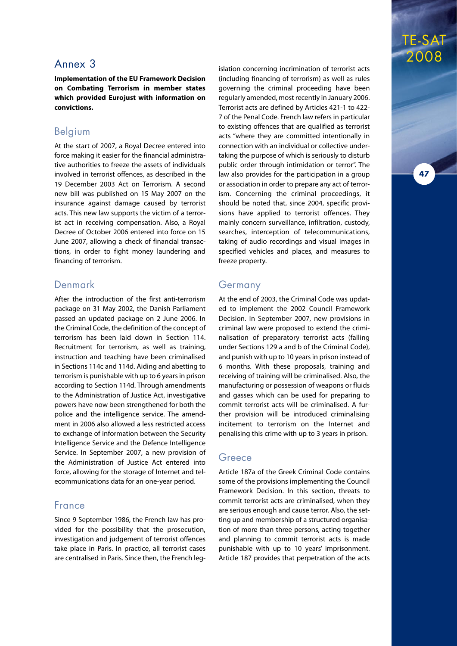#### Annex 3

**Implementation of the EU Framework Decision on Combating Terrorism in member states which provided Eurojust with information on convictions.**

#### Belgium

At the start of 2007, a Royal Decree entered into force making it easier for the financial administrative authorities to freeze the assets of individuals involved in terrorist offences, as described in the 19 December 2003 Act on Terrorism. A second new bill was published on 15 May 2007 on the insurance against damage caused by terrorist acts. This new law supports the victim of a terrorist act in receiving compensation. Also, a Royal Decree of October 2006 entered into force on 15 June 2007, allowing a check of financial transactions, in order to fight money laundering and financing of terrorism.

#### Denmark

After the introduction of the first anti-terrorism package on 31 May 2002, the Danish Parliament passed an updated package on 2 June 2006. In the Criminal Code, the definition of the concept of terrorism has been laid down in Section 114. Recruitment for terrorism, as well as training, instruction and teaching have been criminalised in Sections 114c and 114d. Aiding and abetting to terrorism is punishable with up to 6 years in prison according to Section 114d. Through amendments to the Administration of Justice Act, investigative powers have now been strengthened for both the police and the intelligence service. The amendment in 2006 also allowed a less restricted access to exchange of information between the Security Intelligence Service and the Defence Intelligence Service. In September 2007, a new provision of the Administration of Justice Act entered into force, allowing for the storage of Internet and telecommunications data for an one-year period.

#### France

Since 9 September 1986, the French law has provided for the possibility that the prosecution, investigation and judgement of terrorist offences take place in Paris. In practice, all terrorist cases are centralised in Paris. Since then, the French leg-

islation concerning incrimination of terrorist acts (including financing of terrorism) as well as rules governing the criminal proceeding have been regularly amended, most recently in January 2006. Terrorist acts are defined by Articles 421-1 to 422- 7 of the Penal Code. French law refers in particular to existing offences that are qualified as terrorist acts "where they are committed intentionally in connection with an individual or collective undertaking the purpose of which is seriously to disturb public order through intimidation or terror". The law also provides for the participation in a group or association in order to prepare any act of terrorism. Concerning the criminal proceedings, it should be noted that, since 2004, specific provisions have applied to terrorist offences. They mainly concern surveillance, infiltration, custody, searches, interception of telecommunications, taking of audio recordings and visual images in specified vehicles and places, and measures to freeze property.

TE-SAT

2008

**47**

#### Germany

At the end of 2003, the Criminal Code was updated to implement the 2002 Council Framework Decision. In September 2007, new provisions in criminal law were proposed to extend the criminalisation of preparatory terrorist acts (falling under Sections 129 a and b of the Criminal Code), and punish with up to 10 years in prison instead of 6 months. With these proposals, training and receiving of training will be criminalised. Also, the manufacturing or possession of weapons or fluids and gasses which can be used for preparing to commit terrorist acts will be criminalised. A further provision will be introduced criminalising incitement to terrorism on the Internet and penalising this crime with up to 3 years in prison.

#### Greece

Article 187a of the Greek Criminal Code contains some of the provisions implementing the Council Framework Decision. In this section, threats to commit terrorist acts are criminalised, when they are serious enough and cause terror. Also, the setting up and membership of a structured organisation of more than three persons, acting together and planning to commit terrorist acts is made punishable with up to 10 years' imprisonment. Article 187 provides that perpetration of the acts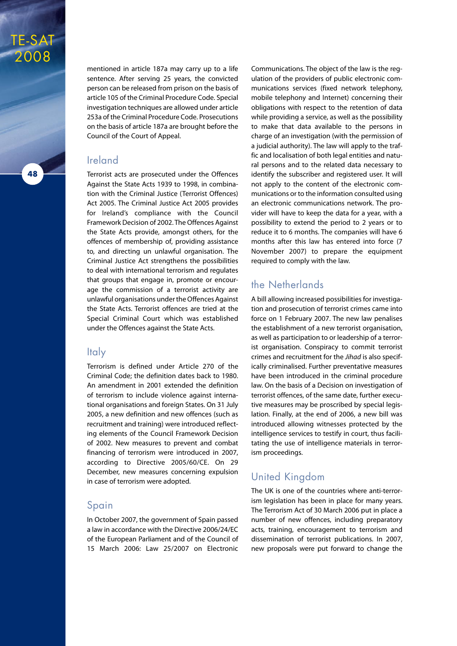

mentioned in article 187a may carry up to a life sentence. After serving 25 years, the convicted person can be released from prison on the basis of article 105 of the Criminal Procedure Code. Special investigation techniques are allowed under article 253a of the Criminal Procedure Code. Prosecutions on the basis of article 187a are brought before the Council of the Court of Appeal.

#### Ireland

Terrorist acts are prosecuted under the Offences Against the State Acts 1939 to 1998, in combination with the Criminal Justice (Terrorist Offences) Act 2005. The Criminal Justice Act 2005 provides for Ireland's compliance with the Council Framework Decision of 2002. The Offences Against the State Acts provide, amongst others, for the offences of membership of, providing assistance to, and directing un unlawful organisation. The Criminal Justice Act strengthens the possibilities to deal with international terrorism and regulates that groups that engage in, promote or encourage the commission of a terrorist activity are unlawful organisations under the Offences Against the State Acts. Terrorist offences are tried at the Special Criminal Court which was established under the Offences against the State Acts.

#### **Italy**

Terrorism is defined under Article 270 of the Criminal Code; the definition dates back to 1980. An amendment in 2001 extended the definition of terrorism to include violence against international organisations and foreign States. On 31 July 2005, a new definition and new offences (such as recruitment and training) were introduced reflecting elements of the Council Framework Decision of 2002. New measures to prevent and combat financing of terrorism were introduced in 2007, according to Directive 2005/60/CE. On 29 December, new measures concerning expulsion in case of terrorism were adopted.

#### Spain

In October 2007, the government of Spain passed a law in accordance with the Directive 2006/24/EC of the European Parliament and of the Council of 15 March 2006: Law 25/2007 on Electronic Communications. The object of the law is the regulation of the providers of public electronic communications services (fixed network telephony, mobile telephony and Internet) concerning their obligations with respect to the retention of data while providing a service, as well as the possibility to make that data available to the persons in charge of an investigation (with the permission of a judicial authority). The law will apply to the traffic and localisation of both legal entities and natural persons and to the related data necessary to identify the subscriber and registered user. It will not apply to the content of the electronic communications or to the information consulted using an electronic communications network. The provider will have to keep the data for a year, with a possibility to extend the period to 2 years or to reduce it to 6 months. The companies will have 6 months after this law has entered into force (7 November 2007) to prepare the equipment required to comply with the law.

#### the Netherlands

A bill allowing increased possibilities for investigation and prosecution of terrorist crimes came into force on 1 February 2007. The new law penalises the establishment of a new terrorist organisation, as well as participation to or leadership of a terrorist organisation. Conspiracy to commit terrorist crimes and recruitment for the *Jihad* is also specifically criminalised. Further preventative measures have been introduced in the criminal procedure law. On the basis of a Decision on investigation of terrorist offences, of the same date, further executive measures may be proscribed by special legislation. Finally, at the end of 2006, a new bill was introduced allowing witnesses protected by the intelligence services to testify in court, thus facilitating the use of intelligence materials in terrorism proceedings.

#### United Kingdom

The UK is one of the countries where anti-terrorism legislation has been in place for many years. The Terrorism Act of 30 March 2006 put in place a number of new offences, including preparatory acts, training, encouragement to terrorism and dissemination of terrorist publications. In 2007, new proposals were put forward to change the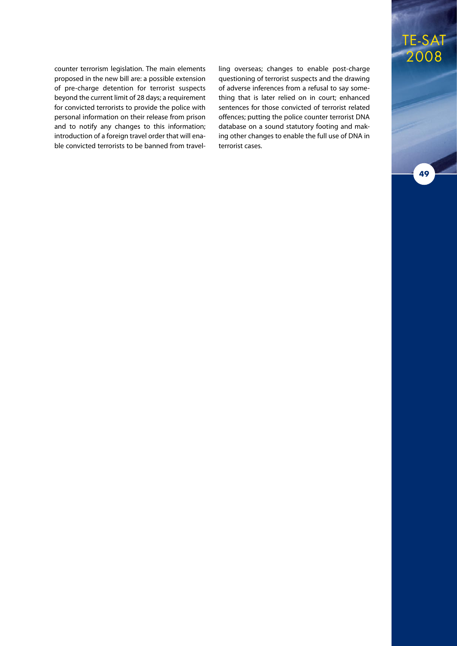counter terrorism legislation. The main elements proposed in the new bill are: a possible extension of pre-charge detention for terrorist suspects beyond the current limit of 28 days; a requirement for convicted terrorists to provide the police with personal information on their release from prison and to notify any changes to this information; introduction of a foreign travel order that will enable convicted terrorists to be banned from travelling overseas; changes to enable post-charge questioning of terrorist suspects and the drawing of adverse inferences from a refusal to say something that is later relied on in court; enhanced sentences for those convicted of terrorist related offences; putting the police counter terrorist DNA database on a sound statutory footing and making other changes to enable the full use of DNA in terrorist cases.

### TE-SAT 2008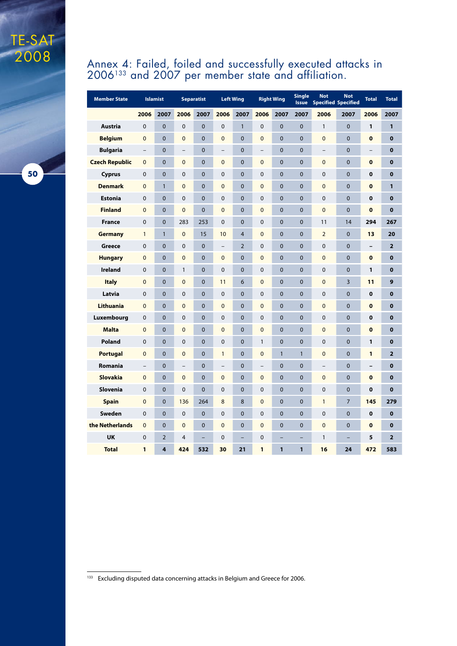#### Annex 4: Failed, foiled and successfully executed attacks in  $2006^{133}$  and  $2007$  per member state and affiliation.

| <b>Member State</b>   | <b>Islamist</b>          |                |                          | <b>Separatist</b> |                          | <b>Left Wing</b>         | <b>Right Wing</b>        |                | <b>Single</b><br><b>Issue</b> | <b>Not</b><br><b>Specified Specified</b> | <b>Not</b>     | <b>Total</b>             | <b>Total</b>   |
|-----------------------|--------------------------|----------------|--------------------------|-------------------|--------------------------|--------------------------|--------------------------|----------------|-------------------------------|------------------------------------------|----------------|--------------------------|----------------|
|                       | 2006                     | 2007           | 2006                     | 2007              | 2006                     | 2007                     | 2006                     | 2007           | 2007                          | 2006                                     | 2007           | 2006                     | 2007           |
| <b>Austria</b>        | 0                        | $\mathbf 0$    | $\mathbf 0$              | $\mathbf 0$       | $\mathbf 0$              | $\mathbf{1}$             | $\mathbf 0$              | $\mathbf 0$    | $\mathbf 0$                   | 1                                        | $\mathbf 0$    | 1                        | 1              |
| <b>Belgium</b>        | $\overline{0}$           | $\overline{0}$ | $\overline{0}$           | $\overline{0}$    | $\overline{0}$           | $\overline{0}$           | $\mathbf 0$              | $\overline{0}$ | $\mathbf 0$                   | $\overline{0}$                           | $\overline{0}$ | $\mathbf 0$              | $\bf{0}$       |
| <b>Bulgaria</b>       | $\overline{\phantom{0}}$ | $\overline{0}$ | $\overline{\phantom{0}}$ | $\mathbf 0$       | $\overline{\phantom{0}}$ | $\mathbf 0$              | $\equiv$                 | $\overline{0}$ | $\mathbf 0$                   | $\overline{\phantom{0}}$                 | $\mathbf 0$    | $\qquad \qquad -$        | $\bf{0}$       |
| <b>Czech Republic</b> | $\overline{0}$           | $\overline{0}$ | $\mathbf 0$              | $\mathbf 0$       | $\overline{0}$           | $\mathbf 0$              | $\mathbf 0$              | $\overline{0}$ | $\mathbf 0$                   | $\overline{0}$                           | $\overline{0}$ | $\bf{0}$                 | $\bf{0}$       |
| <b>Cyprus</b>         | 0                        | $\overline{0}$ | $\mathbf 0$              | $\mathbf{0}$      | 0                        | $\mathbf{0}$             | $\mathbf 0$              | $\mathbf 0$    | $\mathbf 0$                   | 0                                        | $\overline{0}$ | 0                        | $\bf{0}$       |
| <b>Denmark</b>        | $\mathbf{0}$             | $\mathbf{1}$   | $\mathbf{0}$             | $\mathbf{0}$      | $\overline{0}$           | $\mathbf{0}$             | $\mathbf{0}$             | $\mathbf{0}$   | $\mathbf 0$                   | $\overline{0}$                           | $\overline{0}$ | $\bf{0}$                 | 1              |
| <b>Estonia</b>        | $\Omega$                 | $\mathbf{0}$   | $\mathbf 0$              | $\mathbf 0$       | 0                        | $\mathbf 0$              | $\Omega$                 | $\mathbf{0}$   | $\mathbf 0$                   | 0                                        | $\overline{0}$ | $\bf{0}$                 | $\bf{0}$       |
| <b>Finland</b>        | 0                        | $\mathbf 0$    | $\mathbf 0$              | 0                 | $\mathbf 0$              | $\mathbf{0}$             | $\mathbf 0$              | 0              | $\mathbf 0$                   | 0                                        | 0              | $\bf{0}$                 | $\bf{0}$       |
| <b>France</b>         | 0                        | $\mathbf 0$    | 283                      | 253               | 0                        | $\mathbf{0}$             | $\mathbf 0$              | $\mathbf 0$    | $\mathbf 0$                   | 11                                       | 14             | 294                      | 267            |
| <b>Germany</b>        | $\mathbf{1}$             | $\mathbf{1}$   | $\mathbf{0}$             | 15                | 10                       | $\overline{4}$           | $\mathbf 0$              | $\mathbf 0$    | $\mathbf 0$                   | $\overline{2}$                           | $\overline{0}$ | 13                       | 20             |
| <b>Greece</b>         | 0                        | $\mathbf 0$    | $\mathbf 0$              | $\mathbf 0$       | $\qquad \qquad -$        | 2                        | $\mathbf 0$              | $\overline{0}$ | $\mathbf 0$                   | 0                                        | $\overline{0}$ | $\overline{\phantom{0}}$ | $\overline{2}$ |
| <b>Hungary</b>        | $\overline{0}$           | $\mathbf 0$    | $\mathbf 0$              | $\mathbf 0$       | $\mathbf 0$              | $\mathbf 0$              | $\mathbf 0$              | $\overline{0}$ | $\mathbf 0$                   | $\overline{0}$                           | $\overline{0}$ | $\bf{0}$                 | $\bf{0}$       |
| <b>Ireland</b>        | 0                        | $\mathbf 0$    | $\mathbf{1}$             | $\mathbf 0$       | $\mathbf 0$              | $\mathbf 0$              | $\mathbf 0$              | $\overline{0}$ | $\mathbf 0$                   | 0                                        | $\overline{0}$ | 1                        | $\bf{0}$       |
| <b>Italy</b>          | $\overline{0}$           | $\overline{0}$ | $\overline{0}$           | $\mathbf 0$       | 11                       | 6                        | $\mathbf 0$              | $\overline{0}$ | $\mathbf 0$                   | $\overline{0}$                           | 3              | 11                       | 9              |
| Latvia                | 0                        | $\mathbf 0$    | $\mathbf 0$              | $\overline{0}$    | 0                        | $\mathbf 0$              | $\mathbf 0$              | $\mathbf 0$    | $\mathbf 0$                   | $\pmb{0}$                                | $\overline{0}$ | $\bf{0}$                 | $\bf{0}$       |
| <b>Lithuania</b>      | $\overline{0}$           | $\mathbf 0$    | $\mathbf 0$              | $\mathbf 0$       | $\overline{0}$           | $\mathbf 0$              | $\mathbf 0$              | $\overline{0}$ | $\mathbf 0$                   | $\overline{0}$                           | $\overline{0}$ | $\bf{0}$                 | $\bf{0}$       |
| Luxembourg            | 0                        | $\mathbf 0$    | $\mathbf 0$              | $\mathbf 0$       | 0                        | $\mathbf 0$              | $\mathbf 0$              | $\overline{0}$ | $\mathbf 0$                   | $\mathbf 0$                              | $\overline{0}$ | $\bf{0}$                 | $\bf{0}$       |
| <b>Malta</b>          | $\mathbf 0$              | $\Omega$       | $\mathbf{0}$             | $\mathbf{0}$      | $\mathbf{0}$             | $\mathbf{0}$             | $\mathbf 0$              | $\overline{0}$ | $\mathbf 0$                   | $\mathbf{0}$                             | $\mathbf 0$    | $\bf{0}$                 | $\bf{0}$       |
| Poland                | $\Omega$                 | $\mathbf 0$    | $\mathbf 0$              | $\Omega$          | 0                        | $\mathbf{0}$             | $\mathbf{1}$             | $\overline{0}$ | $\mathbf 0$                   | 0                                        | $\overline{0}$ | 1                        | $\bf{0}$       |
| <b>Portugal</b>       | $\overline{0}$           | $\overline{0}$ | $\mathbf{0}$             | $\overline{0}$    | $\mathbf{1}$             | $\mathbf{0}$             | $\mathbf 0$              | $\mathbf{1}$   | $\mathbf{1}$                  | $\mathbf{0}$                             | $\mathbf 0$    | $\mathbf{1}$             | $\overline{2}$ |
| Romania               | $\overline{\phantom{a}}$ | $\mathbf 0$    | $\overline{\phantom{a}}$ | 0                 | $\qquad \qquad -$        | $\mathbf{0}$             | $\overline{\phantom{a}}$ | $\mathbf 0$    | $\mathbf 0$                   | $\qquad \qquad -$                        | $\mathbf 0$    | -                        | $\bf{0}$       |
| <b>Slovakia</b>       | $\mathbf{0}$             | $\mathbf 0$    | $\mathbf 0$              | $\mathbf 0$       | $\mathbf 0$              | $\mathbf{0}$             | $\mathbf 0$              | $\mathbf 0$    | $\mathbf 0$                   | $\mathbf 0$                              | $\mathbf 0$    | $\bf{0}$                 | $\bf{0}$       |
| Slovenia              | 0                        | $\mathbf 0$    | $\mathbf 0$              | $\mathbf 0$       | 0                        | $\mathbf{0}$             | 0                        | 0              | $\mathbf 0$                   | 0                                        | 0              | $\bf{0}$                 | $\bf{0}$       |
| <b>Spain</b>          | $\mathbf{0}$             | $\mathbf 0$    | 136                      | 264               | 8                        | 8                        | $\overline{0}$           | 0              | $\mathbf 0$                   | 1                                        | 7              | 145                      | 279            |
| <b>Sweden</b>         | 0                        | $\mathbf{0}$   | $\mathbf 0$              | 0                 | 0                        | $\mathbf 0$              | 0                        | 0              | $\mathbf 0$                   | 0                                        | 0              | $\bf{0}$                 | $\bf{0}$       |
| the Netherlands       | $\overline{0}$           | $\mathbf 0$    | $\mathbf{0}$             | $\mathbf{0}$      | $\overline{0}$           | $\mathbf 0$              | $\overline{0}$           | 0              | $\mathbf 0$                   | $\overline{0}$                           | $\overline{0}$ | $\bf{0}$                 | $\bf{0}$       |
| <b>UK</b>             | 0                        | $\overline{2}$ | 4                        | ÷,                | 0                        | $\overline{\phantom{0}}$ | $\mathbf 0$              | ÷              | $\qquad \qquad -$             | 1                                        | -              | 5                        | $\overline{2}$ |
| <b>Total</b>          | $\mathbf{1}$             | 4              | 424                      | 532               | 30                       | 21                       | $\mathbf{1}$             | 1              | $\mathbf{1}$                  | 16                                       | 24             | 472                      | 583            |

**50**

TE-SAT

<sup>133</sup> Excluding disputed data concerning attacks in Belgium and Greece for 2006.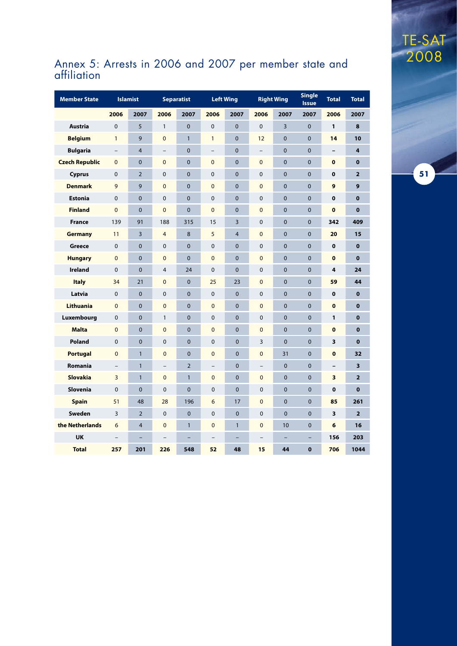

#### Annex 5: Arrests in 2006 and 2007 per member state and affiliation

TE-SAT

2008